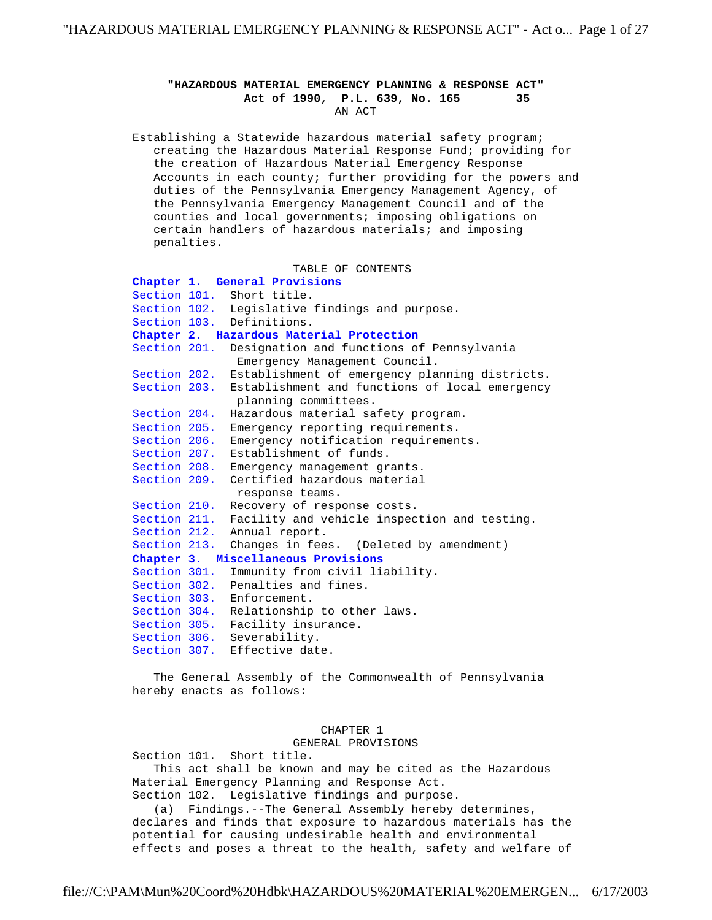## **"HAZARDOUS MATERIAL EMERGENCY PLANNING & RESPONSE ACT"** Act of 1990, P.L. 639, No. 165 AN ACT

 Establishing a Statewide hazardous material safety program; creating the Hazardous Material Response Fund; providing for the creation of Hazardous Material Emergency Response Accounts in each county; further providing for the powers and duties of the Pennsylvania Emergency Management Agency, of the Pennsylvania Emergency Management Council and of the counties and local governments; imposing obligations on certain handlers of hazardous materials; and imposing penalties.

TABLE OF CONTENTS

```
 Chapter 1. General Provisions
     Section 101. Short title.
     Section 102. Legislative findings and purpose.
     Section 103. Definitions.
     Chapter 2. Hazardous Material Protection
     Section 201. Designation and functions of Pennsylvania
                   Emergency Management Council.
     Section 202. Establishment of emergency planning districts.
     Section 203. Establishment and functions of local emergency
                   planning committees.
     Section 204. Hazardous material safety program.
     Section 205. Emergency reporting requirements.
 Section 206. Emergency notification requirements.
 Section 207. Establishment of funds.
     Section 208. Emergency management grants.
     Section 209. Certified hazardous material
                   response teams.
     Section 210. Recovery of response costs.
     Section 211. Facility and vehicle inspection and testing.
 Section 212. Annual report.
 Section 213. Changes in fees. (Deleted by amendment)
     Chapter 3. Miscellaneous Provisions
     Section 301. Immunity from civil liability.
     Section 302. Penalties and fines.
     Section 303. Enforcement.
     Section 304. Relationship to other laws.
Section 305. Facility insurance.
 Section 306. Severability.
     Section 307. Effective date.
```
 The General Assembly of the Commonwealth of Pennsylvania hereby enacts as follows:

## CHAPTER 1

GENERAL PROVISIONS

 Section 101. Short title. This act shall be known and may be cited as the Hazardous Material Emergency Planning and Response Act. Section 102. Legislative findings and purpose.

 (a) Findings.--The General Assembly hereby determines, declares and finds that exposure to hazardous materials has the potential for causing undesirable health and environmental effects and poses a threat to the health, safety and welfare of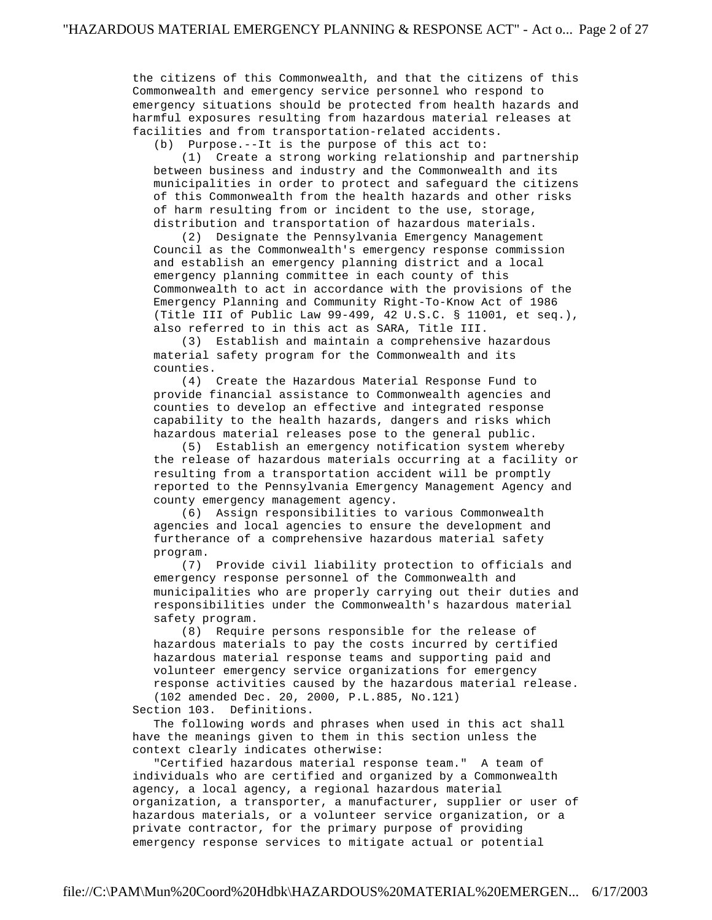the citizens of this Commonwealth, and that the citizens of this Commonwealth and emergency service personnel who respond to emergency situations should be protected from health hazards and harmful exposures resulting from hazardous material releases at facilities and from transportation-related accidents.

(b) Purpose.--It is the purpose of this act to:

 (1) Create a strong working relationship and partnership between business and industry and the Commonwealth and its municipalities in order to protect and safeguard the citizens of this Commonwealth from the health hazards and other risks of harm resulting from or incident to the use, storage, distribution and transportation of hazardous materials.

 (2) Designate the Pennsylvania Emergency Management Council as the Commonwealth's emergency response commission and establish an emergency planning district and a local emergency planning committee in each county of this Commonwealth to act in accordance with the provisions of the Emergency Planning and Community Right-To-Know Act of 1986 (Title III of Public Law 99-499, 42 U.S.C. § 11001, et seq.), also referred to in this act as SARA, Title III.

 (3) Establish and maintain a comprehensive hazardous material safety program for the Commonwealth and its counties.

 (4) Create the Hazardous Material Response Fund to provide financial assistance to Commonwealth agencies and counties to develop an effective and integrated response capability to the health hazards, dangers and risks which hazardous material releases pose to the general public.

 (5) Establish an emergency notification system whereby the release of hazardous materials occurring at a facility or resulting from a transportation accident will be promptly reported to the Pennsylvania Emergency Management Agency and county emergency management agency.

 (6) Assign responsibilities to various Commonwealth agencies and local agencies to ensure the development and furtherance of a comprehensive hazardous material safety program.

 (7) Provide civil liability protection to officials and emergency response personnel of the Commonwealth and municipalities who are properly carrying out their duties and responsibilities under the Commonwealth's hazardous material safety program.

 (8) Require persons responsible for the release of hazardous materials to pay the costs incurred by certified hazardous material response teams and supporting paid and volunteer emergency service organizations for emergency response activities caused by the hazardous material release. (102 amended Dec. 20, 2000, P.L.885, No.121)

Section 103. Definitions.

 The following words and phrases when used in this act shall have the meanings given to them in this section unless the context clearly indicates otherwise:

 "Certified hazardous material response team." A team of individuals who are certified and organized by a Commonwealth agency, a local agency, a regional hazardous material organization, a transporter, a manufacturer, supplier or user of hazardous materials, or a volunteer service organization, or a private contractor, for the primary purpose of providing emergency response services to mitigate actual or potential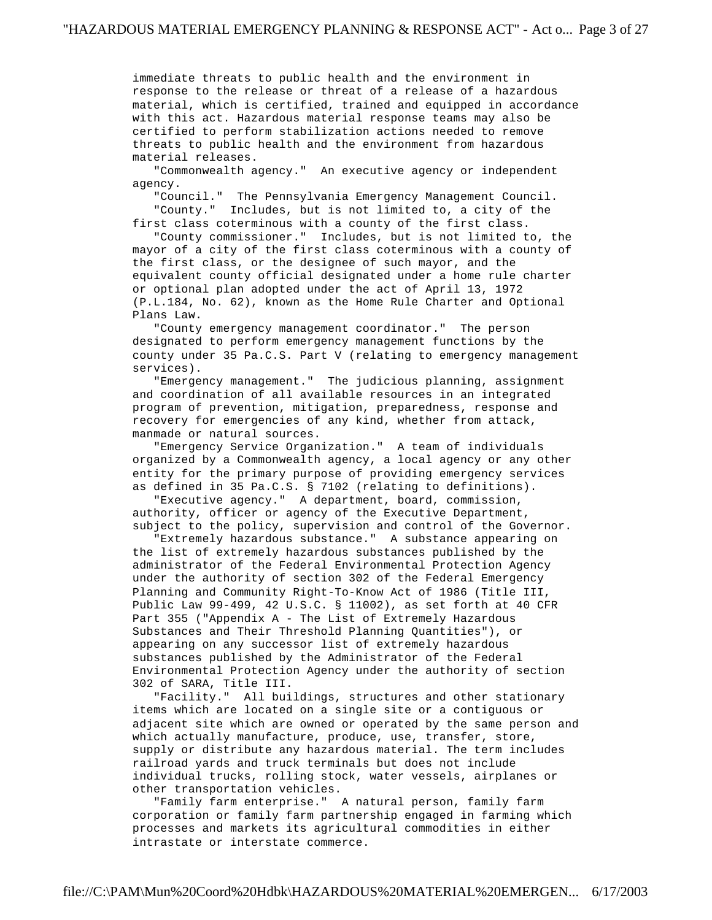immediate threats to public health and the environment in response to the release or threat of a release of a hazardous material, which is certified, trained and equipped in accordance with this act. Hazardous material response teams may also be certified to perform stabilization actions needed to remove threats to public health and the environment from hazardous material releases.

 "Commonwealth agency." An executive agency or independent agency.

 "Council." The Pennsylvania Emergency Management Council. "County." Includes, but is not limited to, a city of the first class coterminous with a county of the first class.

 "County commissioner." Includes, but is not limited to, the mayor of a city of the first class coterminous with a county of the first class, or the designee of such mayor, and the equivalent county official designated under a home rule charter or optional plan adopted under the act of April 13, 1972 (P.L.184, No. 62), known as the Home Rule Charter and Optional Plans Law.

 "County emergency management coordinator." The person designated to perform emergency management functions by the county under 35 Pa.C.S. Part V (relating to emergency management services).

 "Emergency management." The judicious planning, assignment and coordination of all available resources in an integrated program of prevention, mitigation, preparedness, response and recovery for emergencies of any kind, whether from attack, manmade or natural sources.

 "Emergency Service Organization." A team of individuals organized by a Commonwealth agency, a local agency or any other entity for the primary purpose of providing emergency services as defined in 35 Pa.C.S. § 7102 (relating to definitions).

 "Executive agency." A department, board, commission, authority, officer or agency of the Executive Department, subject to the policy, supervision and control of the Governor.

 "Extremely hazardous substance." A substance appearing on the list of extremely hazardous substances published by the administrator of the Federal Environmental Protection Agency under the authority of section 302 of the Federal Emergency Planning and Community Right-To-Know Act of 1986 (Title III, Public Law 99-499, 42 U.S.C. § 11002), as set forth at 40 CFR Part 355 ("Appendix A - The List of Extremely Hazardous Substances and Their Threshold Planning Quantities"), or appearing on any successor list of extremely hazardous substances published by the Administrator of the Federal Environmental Protection Agency under the authority of section 302 of SARA, Title III.

 "Facility." All buildings, structures and other stationary items which are located on a single site or a contiguous or adjacent site which are owned or operated by the same person and which actually manufacture, produce, use, transfer, store, supply or distribute any hazardous material. The term includes railroad yards and truck terminals but does not include individual trucks, rolling stock, water vessels, airplanes or other transportation vehicles.

 "Family farm enterprise." A natural person, family farm corporation or family farm partnership engaged in farming which processes and markets its agricultural commodities in either intrastate or interstate commerce.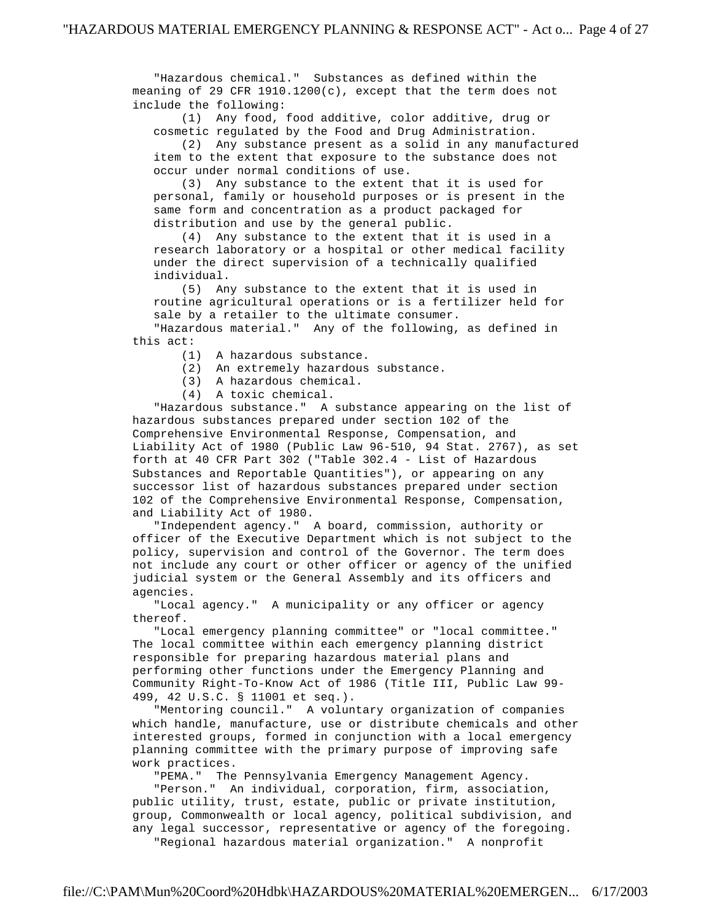"Hazardous chemical." Substances as defined within the meaning of 29 CFR 1910.1200(c), except that the term does not include the following:

 (1) Any food, food additive, color additive, drug or cosmetic regulated by the Food and Drug Administration.

 (2) Any substance present as a solid in any manufactured item to the extent that exposure to the substance does not occur under normal conditions of use.

 (3) Any substance to the extent that it is used for personal, family or household purposes or is present in the same form and concentration as a product packaged for distribution and use by the general public.

 (4) Any substance to the extent that it is used in a research laboratory or a hospital or other medical facility under the direct supervision of a technically qualified individual.

 (5) Any substance to the extent that it is used in routine agricultural operations or is a fertilizer held for sale by a retailer to the ultimate consumer.

 "Hazardous material." Any of the following, as defined in this act:

- (1) A hazardous substance.
- (2) An extremely hazardous substance.
- (3) A hazardous chemical.
- (4) A toxic chemical.

 "Hazardous substance." A substance appearing on the list of hazardous substances prepared under section 102 of the Comprehensive Environmental Response, Compensation, and Liability Act of 1980 (Public Law 96-510, 94 Stat. 2767), as set forth at 40 CFR Part 302 ("Table 302.4 - List of Hazardous Substances and Reportable Quantities"), or appearing on any successor list of hazardous substances prepared under section 102 of the Comprehensive Environmental Response, Compensation, and Liability Act of 1980.

 "Independent agency." A board, commission, authority or officer of the Executive Department which is not subject to the policy, supervision and control of the Governor. The term does not include any court or other officer or agency of the unified judicial system or the General Assembly and its officers and agencies.

 "Local agency." A municipality or any officer or agency thereof.

 "Local emergency planning committee" or "local committee." The local committee within each emergency planning district responsible for preparing hazardous material plans and performing other functions under the Emergency Planning and Community Right-To-Know Act of 1986 (Title III, Public Law 99- 499, 42 U.S.C. § 11001 et seq.).

 "Mentoring council." A voluntary organization of companies which handle, manufacture, use or distribute chemicals and other interested groups, formed in conjunction with a local emergency planning committee with the primary purpose of improving safe work practices.

"PEMA." The Pennsylvania Emergency Management Agency.

 "Person." An individual, corporation, firm, association, public utility, trust, estate, public or private institution, group, Commonwealth or local agency, political subdivision, and any legal successor, representative or agency of the foregoing. "Regional hazardous material organization." A nonprofit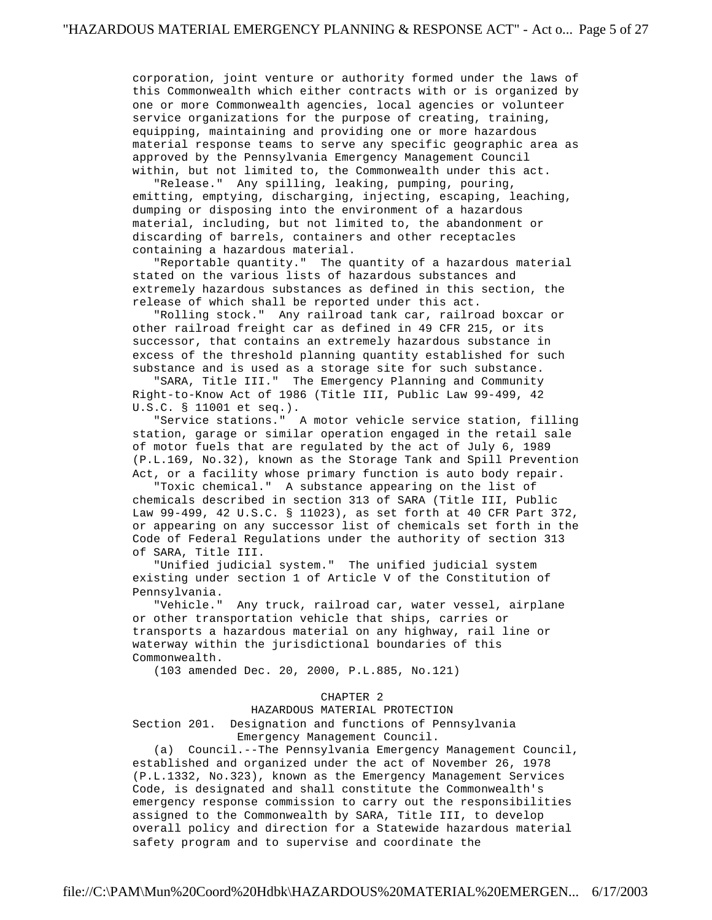corporation, joint venture or authority formed under the laws of this Commonwealth which either contracts with or is organized by one or more Commonwealth agencies, local agencies or volunteer service organizations for the purpose of creating, training, equipping, maintaining and providing one or more hazardous material response teams to serve any specific geographic area as approved by the Pennsylvania Emergency Management Council within, but not limited to, the Commonwealth under this act.

 "Release." Any spilling, leaking, pumping, pouring, emitting, emptying, discharging, injecting, escaping, leaching, dumping or disposing into the environment of a hazardous material, including, but not limited to, the abandonment or discarding of barrels, containers and other receptacles containing a hazardous material.

 "Reportable quantity." The quantity of a hazardous material stated on the various lists of hazardous substances and extremely hazardous substances as defined in this section, the release of which shall be reported under this act.

 "Rolling stock." Any railroad tank car, railroad boxcar or other railroad freight car as defined in 49 CFR 215, or its successor, that contains an extremely hazardous substance in excess of the threshold planning quantity established for such substance and is used as a storage site for such substance.

 "SARA, Title III." The Emergency Planning and Community Right-to-Know Act of 1986 (Title III, Public Law 99-499, 42 U.S.C. § 11001 et seq.).

 "Service stations." A motor vehicle service station, filling station, garage or similar operation engaged in the retail sale of motor fuels that are regulated by the act of July 6, 1989 (P.L.169, No.32), known as the Storage Tank and Spill Prevention Act, or a facility whose primary function is auto body repair.

 "Toxic chemical." A substance appearing on the list of chemicals described in section 313 of SARA (Title III, Public Law 99-499, 42 U.S.C. § 11023), as set forth at 40 CFR Part 372, or appearing on any successor list of chemicals set forth in the Code of Federal Regulations under the authority of section 313 of SARA, Title III.

 "Unified judicial system." The unified judicial system existing under section 1 of Article V of the Constitution of Pennsylvania.

 "Vehicle." Any truck, railroad car, water vessel, airplane or other transportation vehicle that ships, carries or transports a hazardous material on any highway, rail line or waterway within the jurisdictional boundaries of this Commonwealth.

(103 amended Dec. 20, 2000, P.L.885, No.121)

## CHAPTER 2

HAZARDOUS MATERIAL PROTECTION

 Section 201. Designation and functions of Pennsylvania Emergency Management Council.

 (a) Council.--The Pennsylvania Emergency Management Council, established and organized under the act of November 26, 1978 (P.L.1332, No.323), known as the Emergency Management Services Code, is designated and shall constitute the Commonwealth's emergency response commission to carry out the responsibilities assigned to the Commonwealth by SARA, Title III, to develop overall policy and direction for a Statewide hazardous material safety program and to supervise and coordinate the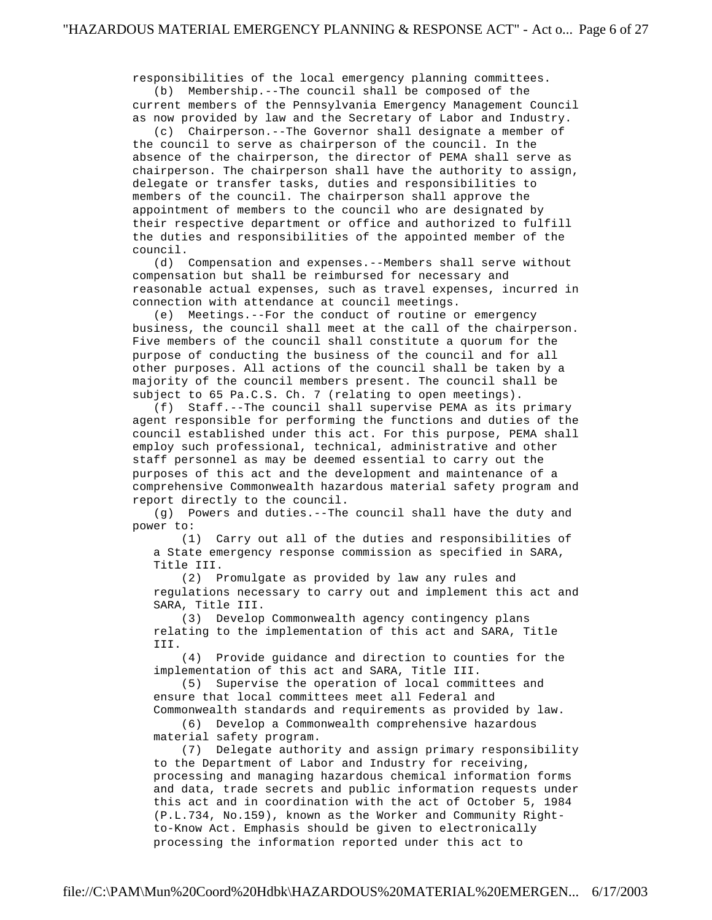responsibilities of the local emergency planning committees. (b) Membership.--The council shall be composed of the current members of the Pennsylvania Emergency Management Council

 as now provided by law and the Secretary of Labor and Industry. (c) Chairperson.--The Governor shall designate a member of

 the council to serve as chairperson of the council. In the absence of the chairperson, the director of PEMA shall serve as chairperson. The chairperson shall have the authority to assign, delegate or transfer tasks, duties and responsibilities to members of the council. The chairperson shall approve the appointment of members to the council who are designated by their respective department or office and authorized to fulfill the duties and responsibilities of the appointed member of the council.

 (d) Compensation and expenses.--Members shall serve without compensation but shall be reimbursed for necessary and reasonable actual expenses, such as travel expenses, incurred in connection with attendance at council meetings.

 (e) Meetings.--For the conduct of routine or emergency business, the council shall meet at the call of the chairperson. Five members of the council shall constitute a quorum for the purpose of conducting the business of the council and for all other purposes. All actions of the council shall be taken by a majority of the council members present. The council shall be subject to 65 Pa.C.S. Ch. 7 (relating to open meetings).

 (f) Staff.--The council shall supervise PEMA as its primary agent responsible for performing the functions and duties of the council established under this act. For this purpose, PEMA shall employ such professional, technical, administrative and other staff personnel as may be deemed essential to carry out the purposes of this act and the development and maintenance of a comprehensive Commonwealth hazardous material safety program and report directly to the council.

 (g) Powers and duties.--The council shall have the duty and power to:

 (1) Carry out all of the duties and responsibilities of a State emergency response commission as specified in SARA, Title III.

 (2) Promulgate as provided by law any rules and regulations necessary to carry out and implement this act and SARA, Title III.

 (3) Develop Commonwealth agency contingency plans relating to the implementation of this act and SARA, Title III.

 (4) Provide guidance and direction to counties for the implementation of this act and SARA, Title III.

 (5) Supervise the operation of local committees and ensure that local committees meet all Federal and Commonwealth standards and requirements as provided by law.

 (6) Develop a Commonwealth comprehensive hazardous material safety program.

 (7) Delegate authority and assign primary responsibility to the Department of Labor and Industry for receiving, processing and managing hazardous chemical information forms and data, trade secrets and public information requests under this act and in coordination with the act of October 5, 1984 (P.L.734, No.159), known as the Worker and Community Right to-Know Act. Emphasis should be given to electronically processing the information reported under this act to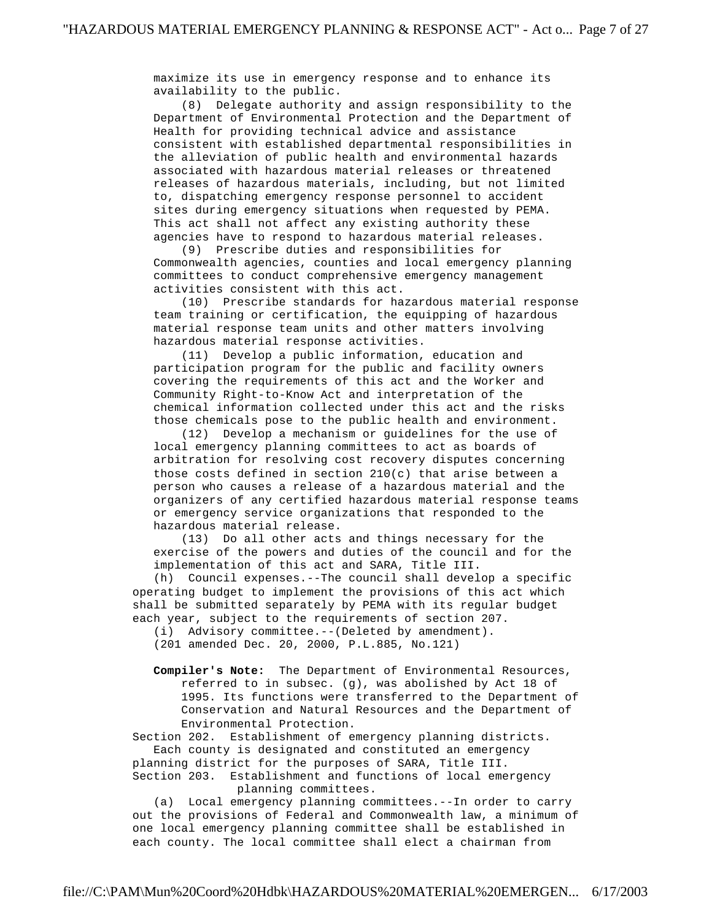maximize its use in emergency response and to enhance its availability to the public.

 (8) Delegate authority and assign responsibility to the Department of Environmental Protection and the Department of Health for providing technical advice and assistance consistent with established departmental responsibilities in the alleviation of public health and environmental hazards associated with hazardous material releases or threatened releases of hazardous materials, including, but not limited to, dispatching emergency response personnel to accident sites during emergency situations when requested by PEMA. This act shall not affect any existing authority these agencies have to respond to hazardous material releases.

 (9) Prescribe duties and responsibilities for Commonwealth agencies, counties and local emergency planning committees to conduct comprehensive emergency management activities consistent with this act.

 (10) Prescribe standards for hazardous material response team training or certification, the equipping of hazardous material response team units and other matters involving hazardous material response activities.

 (11) Develop a public information, education and participation program for the public and facility owners covering the requirements of this act and the Worker and Community Right-to-Know Act and interpretation of the chemical information collected under this act and the risks those chemicals pose to the public health and environment.

 (12) Develop a mechanism or guidelines for the use of local emergency planning committees to act as boards of arbitration for resolving cost recovery disputes concerning those costs defined in section 210(c) that arise between a person who causes a release of a hazardous material and the organizers of any certified hazardous material response teams or emergency service organizations that responded to the hazardous material release.

 (13) Do all other acts and things necessary for the exercise of the powers and duties of the council and for the implementation of this act and SARA, Title III.

 (h) Council expenses.--The council shall develop a specific operating budget to implement the provisions of this act which shall be submitted separately by PEMA with its regular budget each year, subject to the requirements of section 207.

(i) Advisory committee.--(Deleted by amendment).

(201 amended Dec. 20, 2000, P.L.885, No.121)

 **Compiler's Note:** The Department of Environmental Resources, referred to in subsec. (g), was abolished by Act 18 of 1995. Its functions were transferred to the Department of Conservation and Natural Resources and the Department of Environmental Protection.

 Section 202. Establishment of emergency planning districts. Each county is designated and constituted an emergency

 planning district for the purposes of SARA, Title III. Section 203. Establishment and functions of local emergency planning committees.

 (a) Local emergency planning committees.--In order to carry out the provisions of Federal and Commonwealth law, a minimum of one local emergency planning committee shall be established in each county. The local committee shall elect a chairman from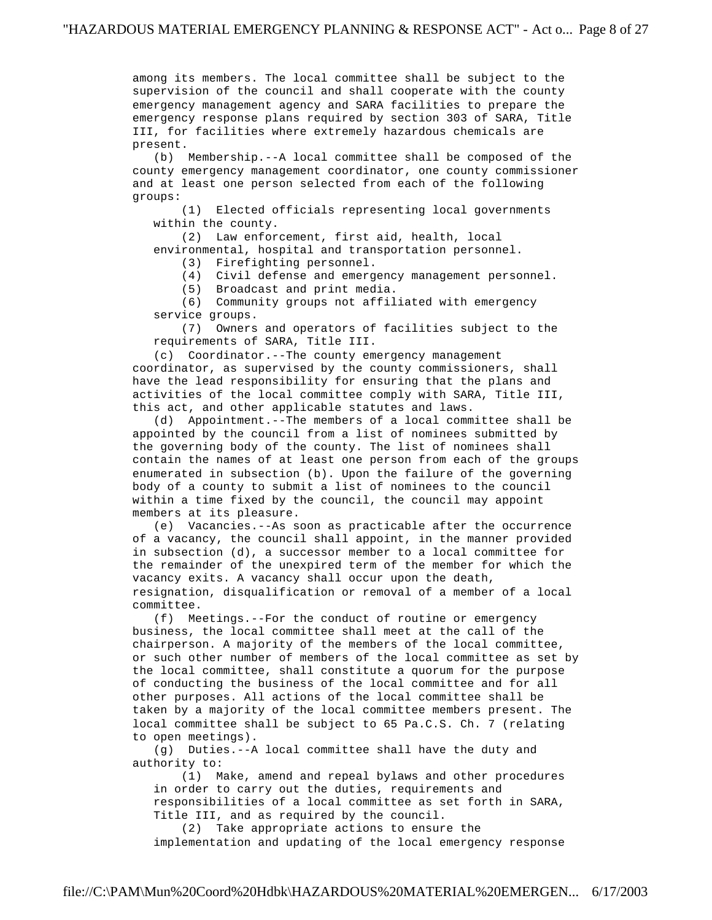among its members. The local committee shall be subject to the supervision of the council and shall cooperate with the county emergency management agency and SARA facilities to prepare the emergency response plans required by section 303 of SARA, Title III, for facilities where extremely hazardous chemicals are present.

 (b) Membership.--A local committee shall be composed of the county emergency management coordinator, one county commissioner and at least one person selected from each of the following groups:

 (1) Elected officials representing local governments within the county.

 (2) Law enforcement, first aid, health, local environmental, hospital and transportation personnel.

(3) Firefighting personnel.

(4) Civil defense and emergency management personnel.

(5) Broadcast and print media.

 (6) Community groups not affiliated with emergency service groups.

 (7) Owners and operators of facilities subject to the requirements of SARA, Title III.

 (c) Coordinator.--The county emergency management coordinator, as supervised by the county commissioners, shall have the lead responsibility for ensuring that the plans and activities of the local committee comply with SARA, Title III, this act, and other applicable statutes and laws.

 (d) Appointment.--The members of a local committee shall be appointed by the council from a list of nominees submitted by the governing body of the county. The list of nominees shall contain the names of at least one person from each of the groups enumerated in subsection (b). Upon the failure of the governing body of a county to submit a list of nominees to the council within a time fixed by the council, the council may appoint members at its pleasure.

 (e) Vacancies.--As soon as practicable after the occurrence of a vacancy, the council shall appoint, in the manner provided in subsection (d), a successor member to a local committee for the remainder of the unexpired term of the member for which the vacancy exits. A vacancy shall occur upon the death, resignation, disqualification or removal of a member of a local committee.

 (f) Meetings.--For the conduct of routine or emergency business, the local committee shall meet at the call of the chairperson. A majority of the members of the local committee, or such other number of members of the local committee as set by the local committee, shall constitute a quorum for the purpose of conducting the business of the local committee and for all other purposes. All actions of the local committee shall be taken by a majority of the local committee members present. The local committee shall be subject to 65 Pa.C.S. Ch. 7 (relating to open meetings).

 (g) Duties.--A local committee shall have the duty and authority to:

 (1) Make, amend and repeal bylaws and other procedures in order to carry out the duties, requirements and responsibilities of a local committee as set forth in SARA, Title III, and as required by the council.

 (2) Take appropriate actions to ensure the implementation and updating of the local emergency response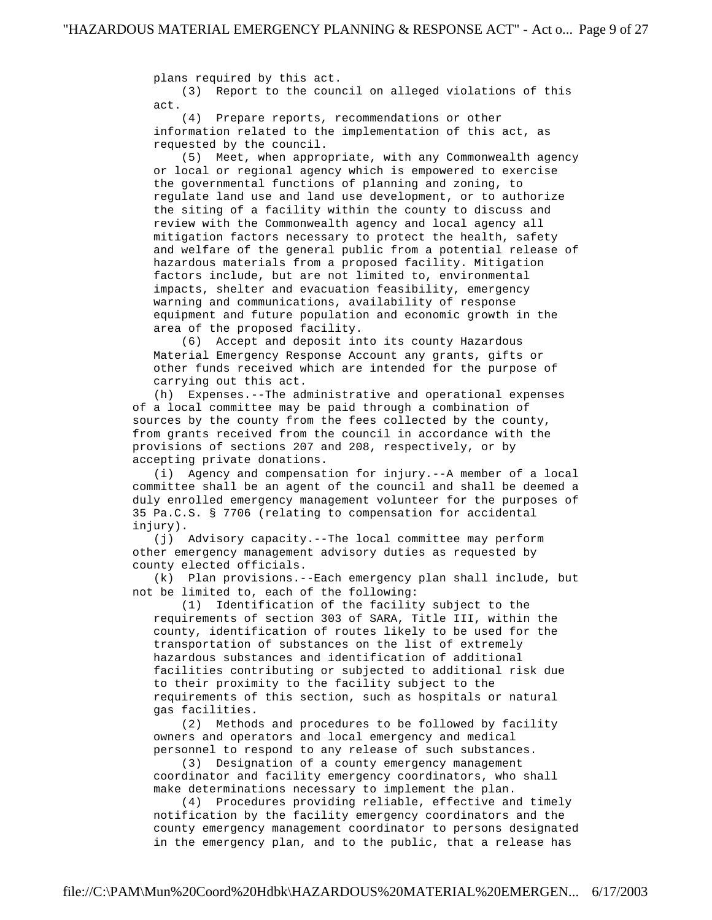plans required by this act. (3) Report to the council on alleged violations of this act.

 (4) Prepare reports, recommendations or other information related to the implementation of this act, as requested by the council.

 (5) Meet, when appropriate, with any Commonwealth agency or local or regional agency which is empowered to exercise the governmental functions of planning and zoning, to regulate land use and land use development, or to authorize the siting of a facility within the county to discuss and review with the Commonwealth agency and local agency all mitigation factors necessary to protect the health, safety and welfare of the general public from a potential release of hazardous materials from a proposed facility. Mitigation factors include, but are not limited to, environmental impacts, shelter and evacuation feasibility, emergency warning and communications, availability of response equipment and future population and economic growth in the area of the proposed facility.

 (6) Accept and deposit into its county Hazardous Material Emergency Response Account any grants, gifts or other funds received which are intended for the purpose of carrying out this act.

 (h) Expenses.--The administrative and operational expenses of a local committee may be paid through a combination of sources by the county from the fees collected by the county, from grants received from the council in accordance with the provisions of sections 207 and 208, respectively, or by accepting private donations.

 (i) Agency and compensation for injury.--A member of a local committee shall be an agent of the council and shall be deemed a duly enrolled emergency management volunteer for the purposes of 35 Pa.C.S. § 7706 (relating to compensation for accidental injury).

 (j) Advisory capacity.--The local committee may perform other emergency management advisory duties as requested by county elected officials.

 (k) Plan provisions.--Each emergency plan shall include, but not be limited to, each of the following:

 (1) Identification of the facility subject to the requirements of section 303 of SARA, Title III, within the county, identification of routes likely to be used for the transportation of substances on the list of extremely hazardous substances and identification of additional facilities contributing or subjected to additional risk due to their proximity to the facility subject to the requirements of this section, such as hospitals or natural gas facilities.

 (2) Methods and procedures to be followed by facility owners and operators and local emergency and medical personnel to respond to any release of such substances.

 (3) Designation of a county emergency management coordinator and facility emergency coordinators, who shall make determinations necessary to implement the plan.

 (4) Procedures providing reliable, effective and timely notification by the facility emergency coordinators and the county emergency management coordinator to persons designated in the emergency plan, and to the public, that a release has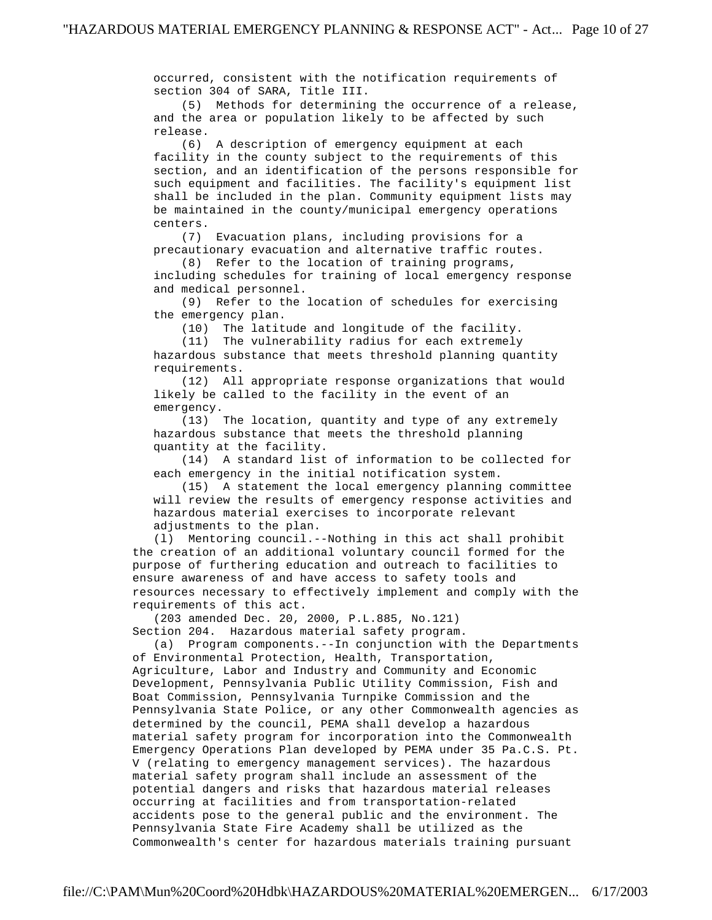occurred, consistent with the notification requirements of section 304 of SARA, Title III.

 (5) Methods for determining the occurrence of a release, and the area or population likely to be affected by such release.

 (6) A description of emergency equipment at each facility in the county subject to the requirements of this section, and an identification of the persons responsible for such equipment and facilities. The facility's equipment list shall be included in the plan. Community equipment lists may be maintained in the county/municipal emergency operations centers.

 (7) Evacuation plans, including provisions for a precautionary evacuation and alternative traffic routes.

 (8) Refer to the location of training programs, including schedules for training of local emergency response and medical personnel.

 (9) Refer to the location of schedules for exercising the emergency plan.

(10) The latitude and longitude of the facility.

 (11) The vulnerability radius for each extremely hazardous substance that meets threshold planning quantity requirements.

 (12) All appropriate response organizations that would likely be called to the facility in the event of an emergency.

 (13) The location, quantity and type of any extremely hazardous substance that meets the threshold planning quantity at the facility.

 (14) A standard list of information to be collected for each emergency in the initial notification system.

 (15) A statement the local emergency planning committee will review the results of emergency response activities and hazardous material exercises to incorporate relevant adjustments to the plan.

 (l) Mentoring council.--Nothing in this act shall prohibit the creation of an additional voluntary council formed for the purpose of furthering education and outreach to facilities to ensure awareness of and have access to safety tools and resources necessary to effectively implement and comply with the requirements of this act.

 (203 amended Dec. 20, 2000, P.L.885, No.121) Section 204. Hazardous material safety program.

 (a) Program components.--In conjunction with the Departments of Environmental Protection, Health, Transportation, Agriculture, Labor and Industry and Community and Economic Development, Pennsylvania Public Utility Commission, Fish and Boat Commission, Pennsylvania Turnpike Commission and the Pennsylvania State Police, or any other Commonwealth agencies as determined by the council, PEMA shall develop a hazardous material safety program for incorporation into the Commonwealth Emergency Operations Plan developed by PEMA under 35 Pa.C.S. Pt. V (relating to emergency management services). The hazardous material safety program shall include an assessment of the potential dangers and risks that hazardous material releases occurring at facilities and from transportation-related accidents pose to the general public and the environment. The Pennsylvania State Fire Academy shall be utilized as the Commonwealth's center for hazardous materials training pursuant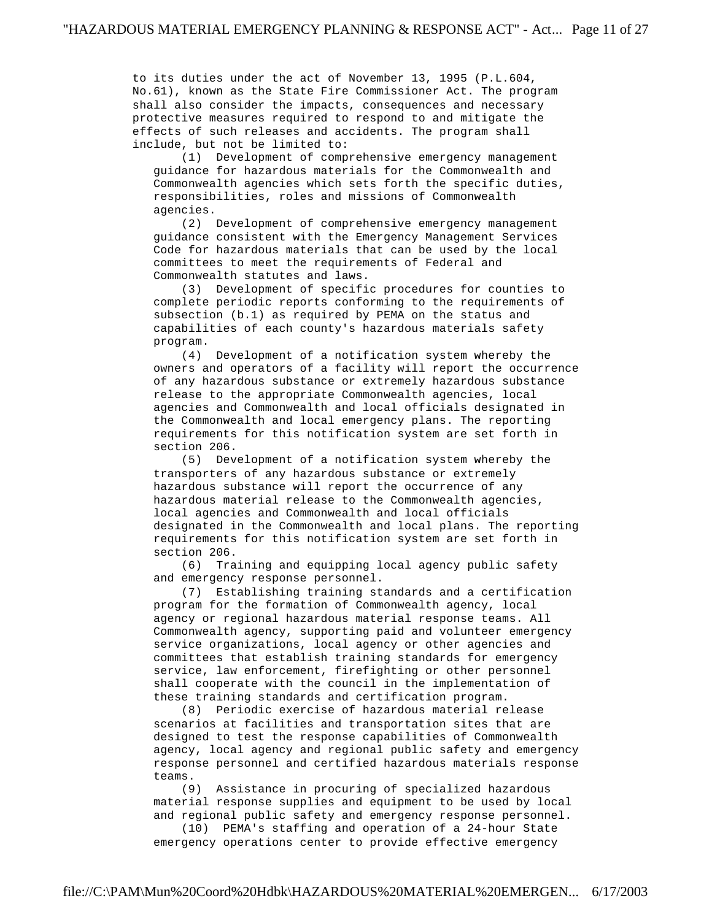to its duties under the act of November 13, 1995 (P.L.604, No.61), known as the State Fire Commissioner Act. The program shall also consider the impacts, consequences and necessary protective measures required to respond to and mitigate the effects of such releases and accidents. The program shall include, but not be limited to:

 (1) Development of comprehensive emergency management guidance for hazardous materials for the Commonwealth and Commonwealth agencies which sets forth the specific duties, responsibilities, roles and missions of Commonwealth agencies.

 (2) Development of comprehensive emergency management guidance consistent with the Emergency Management Services Code for hazardous materials that can be used by the local committees to meet the requirements of Federal and Commonwealth statutes and laws.

 (3) Development of specific procedures for counties to complete periodic reports conforming to the requirements of subsection (b.1) as required by PEMA on the status and capabilities of each county's hazardous materials safety program.

 (4) Development of a notification system whereby the owners and operators of a facility will report the occurrence of any hazardous substance or extremely hazardous substance release to the appropriate Commonwealth agencies, local agencies and Commonwealth and local officials designated in the Commonwealth and local emergency plans. The reporting requirements for this notification system are set forth in section 206.

 (5) Development of a notification system whereby the transporters of any hazardous substance or extremely hazardous substance will report the occurrence of any hazardous material release to the Commonwealth agencies, local agencies and Commonwealth and local officials designated in the Commonwealth and local plans. The reporting requirements for this notification system are set forth in section 206.

 (6) Training and equipping local agency public safety and emergency response personnel.

 (7) Establishing training standards and a certification program for the formation of Commonwealth agency, local agency or regional hazardous material response teams. All Commonwealth agency, supporting paid and volunteer emergency service organizations, local agency or other agencies and committees that establish training standards for emergency service, law enforcement, firefighting or other personnel shall cooperate with the council in the implementation of these training standards and certification program.

 (8) Periodic exercise of hazardous material release scenarios at facilities and transportation sites that are designed to test the response capabilities of Commonwealth agency, local agency and regional public safety and emergency response personnel and certified hazardous materials response teams.

 (9) Assistance in procuring of specialized hazardous material response supplies and equipment to be used by local and regional public safety and emergency response personnel.

 (10) PEMA's staffing and operation of a 24-hour State emergency operations center to provide effective emergency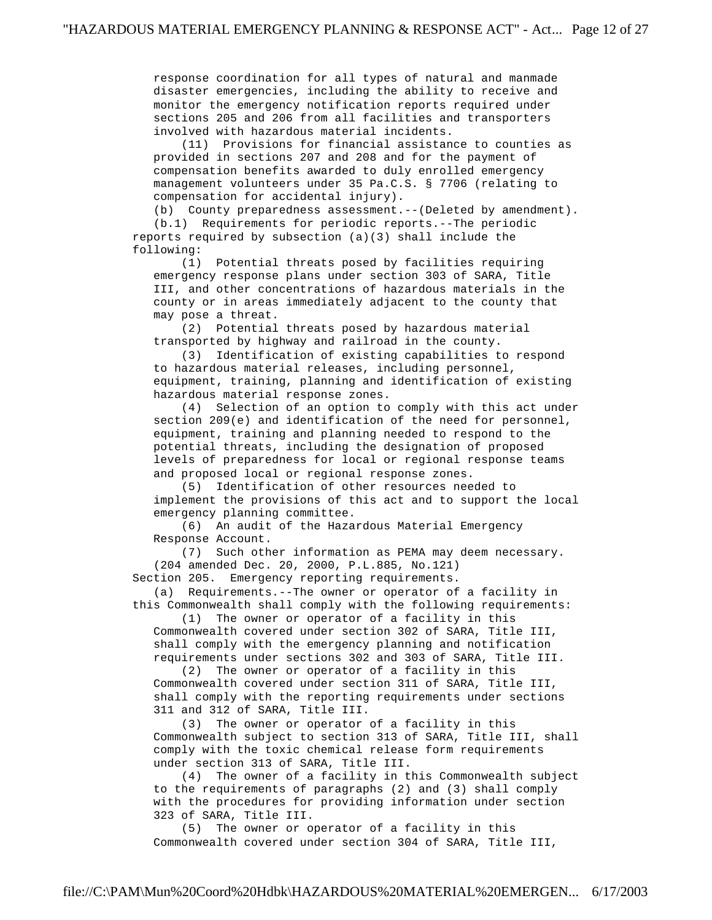response coordination for all types of natural and manmade disaster emergencies, including the ability to receive and monitor the emergency notification reports required under sections 205 and 206 from all facilities and transporters involved with hazardous material incidents.

 (11) Provisions for financial assistance to counties as provided in sections 207 and 208 and for the payment of compensation benefits awarded to duly enrolled emergency management volunteers under 35 Pa.C.S. § 7706 (relating to compensation for accidental injury).

 (b) County preparedness assessment.--(Deleted by amendment). (b.1) Requirements for periodic reports.--The periodic reports required by subsection (a)(3) shall include the following:

 (1) Potential threats posed by facilities requiring emergency response plans under section 303 of SARA, Title III, and other concentrations of hazardous materials in the county or in areas immediately adjacent to the county that may pose a threat.

 (2) Potential threats posed by hazardous material transported by highway and railroad in the county.

 (3) Identification of existing capabilities to respond to hazardous material releases, including personnel, equipment, training, planning and identification of existing hazardous material response zones.

 (4) Selection of an option to comply with this act under section 209(e) and identification of the need for personnel, equipment, training and planning needed to respond to the potential threats, including the designation of proposed levels of preparedness for local or regional response teams and proposed local or regional response zones.

 (5) Identification of other resources needed to implement the provisions of this act and to support the local emergency planning committee.

 (6) An audit of the Hazardous Material Emergency Response Account.

 (7) Such other information as PEMA may deem necessary. (204 amended Dec. 20, 2000, P.L.885, No.121)

Section 205. Emergency reporting requirements.

 (a) Requirements.--The owner or operator of a facility in this Commonwealth shall comply with the following requirements:

 (1) The owner or operator of a facility in this Commonwealth covered under section 302 of SARA, Title III, shall comply with the emergency planning and notification requirements under sections 302 and 303 of SARA, Title III.

 (2) The owner or operator of a facility in this Commonwealth covered under section 311 of SARA, Title III, shall comply with the reporting requirements under sections 311 and 312 of SARA, Title III.

 (3) The owner or operator of a facility in this Commonwealth subject to section 313 of SARA, Title III, shall comply with the toxic chemical release form requirements under section 313 of SARA, Title III.

 (4) The owner of a facility in this Commonwealth subject to the requirements of paragraphs (2) and (3) shall comply with the procedures for providing information under section 323 of SARA, Title III.

 (5) The owner or operator of a facility in this Commonwealth covered under section 304 of SARA, Title III,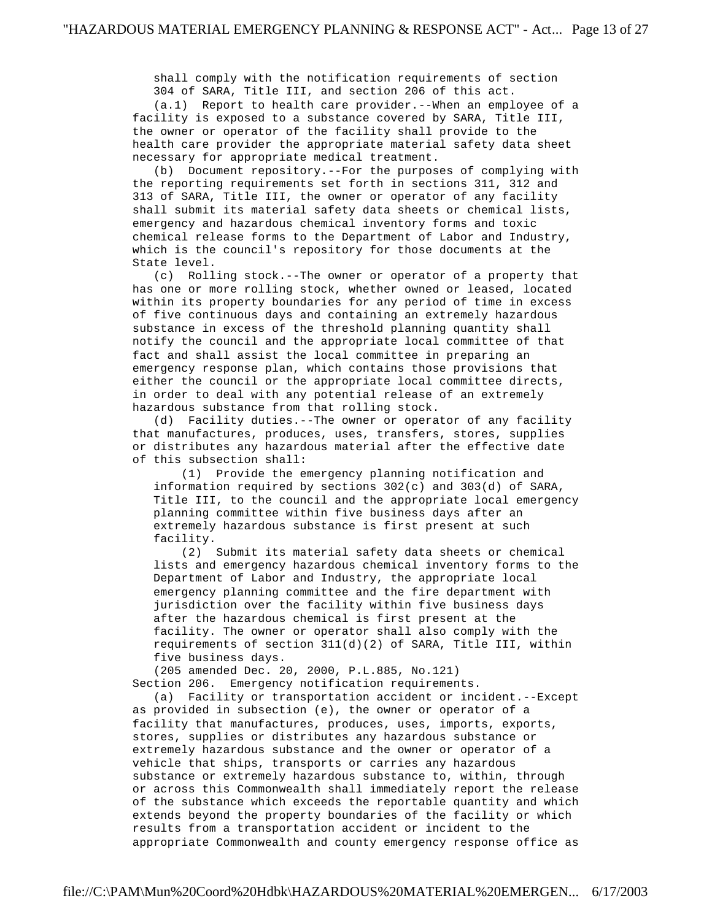shall comply with the notification requirements of section 304 of SARA, Title III, and section 206 of this act.

 (a.1) Report to health care provider.--When an employee of a facility is exposed to a substance covered by SARA, Title III, the owner or operator of the facility shall provide to the health care provider the appropriate material safety data sheet necessary for appropriate medical treatment.

 (b) Document repository.--For the purposes of complying with the reporting requirements set forth in sections 311, 312 and 313 of SARA, Title III, the owner or operator of any facility shall submit its material safety data sheets or chemical lists, emergency and hazardous chemical inventory forms and toxic chemical release forms to the Department of Labor and Industry, which is the council's repository for those documents at the State level.

 (c) Rolling stock.--The owner or operator of a property that has one or more rolling stock, whether owned or leased, located within its property boundaries for any period of time in excess of five continuous days and containing an extremely hazardous substance in excess of the threshold planning quantity shall notify the council and the appropriate local committee of that fact and shall assist the local committee in preparing an emergency response plan, which contains those provisions that either the council or the appropriate local committee directs, in order to deal with any potential release of an extremely hazardous substance from that rolling stock.

 (d) Facility duties.--The owner or operator of any facility that manufactures, produces, uses, transfers, stores, supplies or distributes any hazardous material after the effective date of this subsection shall:

 (1) Provide the emergency planning notification and information required by sections 302(c) and 303(d) of SARA, Title III, to the council and the appropriate local emergency planning committee within five business days after an extremely hazardous substance is first present at such facility.

 (2) Submit its material safety data sheets or chemical lists and emergency hazardous chemical inventory forms to the Department of Labor and Industry, the appropriate local emergency planning committee and the fire department with jurisdiction over the facility within five business days after the hazardous chemical is first present at the facility. The owner or operator shall also comply with the requirements of section 311(d)(2) of SARA, Title III, within five business days.

 (205 amended Dec. 20, 2000, P.L.885, No.121) Section 206. Emergency notification requirements.

 (a) Facility or transportation accident or incident.--Except as provided in subsection (e), the owner or operator of a facility that manufactures, produces, uses, imports, exports, stores, supplies or distributes any hazardous substance or extremely hazardous substance and the owner or operator of a vehicle that ships, transports or carries any hazardous substance or extremely hazardous substance to, within, through or across this Commonwealth shall immediately report the release of the substance which exceeds the reportable quantity and which extends beyond the property boundaries of the facility or which results from a transportation accident or incident to the appropriate Commonwealth and county emergency response office as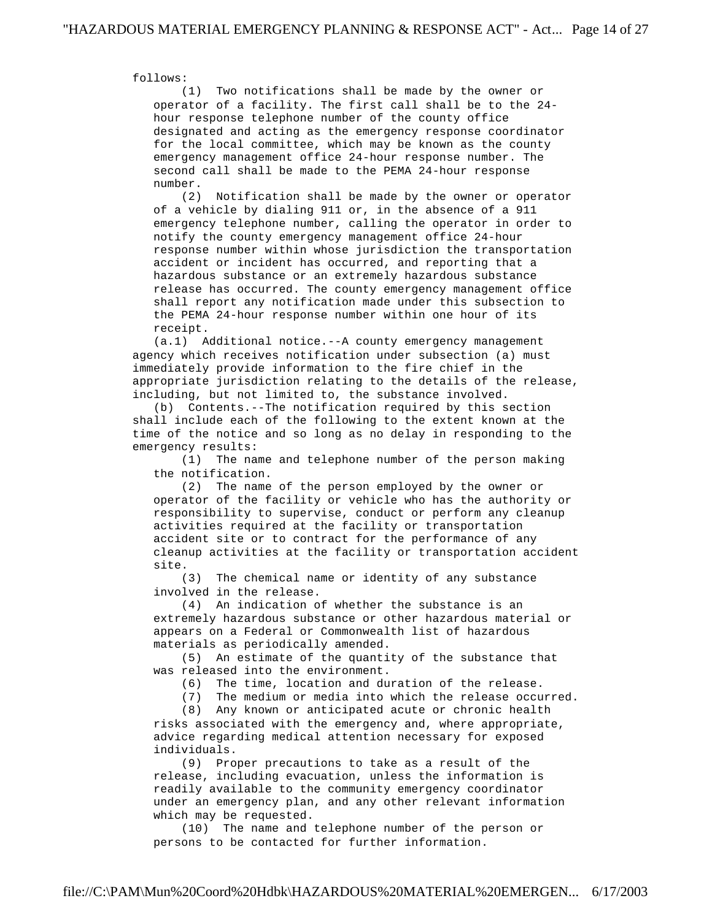follows:

 (1) Two notifications shall be made by the owner or operator of a facility. The first call shall be to the 24 hour response telephone number of the county office designated and acting as the emergency response coordinator for the local committee, which may be known as the county emergency management office 24-hour response number. The second call shall be made to the PEMA 24-hour response number.

 (2) Notification shall be made by the owner or operator of a vehicle by dialing 911 or, in the absence of a 911 emergency telephone number, calling the operator in order to notify the county emergency management office 24-hour response number within whose jurisdiction the transportation accident or incident has occurred, and reporting that a hazardous substance or an extremely hazardous substance release has occurred. The county emergency management office shall report any notification made under this subsection to the PEMA 24-hour response number within one hour of its receipt.

 (a.1) Additional notice.--A county emergency management agency which receives notification under subsection (a) must immediately provide information to the fire chief in the appropriate jurisdiction relating to the details of the release, including, but not limited to, the substance involved.

 (b) Contents.--The notification required by this section shall include each of the following to the extent known at the time of the notice and so long as no delay in responding to the emergency results:

 (1) The name and telephone number of the person making the notification.

 (2) The name of the person employed by the owner or operator of the facility or vehicle who has the authority or responsibility to supervise, conduct or perform any cleanup activities required at the facility or transportation accident site or to contract for the performance of any cleanup activities at the facility or transportation accident site.

 (3) The chemical name or identity of any substance involved in the release.

 (4) An indication of whether the substance is an extremely hazardous substance or other hazardous material or appears on a Federal or Commonwealth list of hazardous materials as periodically amended.

 (5) An estimate of the quantity of the substance that was released into the environment.

(6) The time, location and duration of the release.

(7) The medium or media into which the release occurred.

(8) Any known or anticipated acute or chronic health

 risks associated with the emergency and, where appropriate, advice regarding medical attention necessary for exposed individuals.

 (9) Proper precautions to take as a result of the release, including evacuation, unless the information is readily available to the community emergency coordinator under an emergency plan, and any other relevant information which may be requested.

 (10) The name and telephone number of the person or persons to be contacted for further information.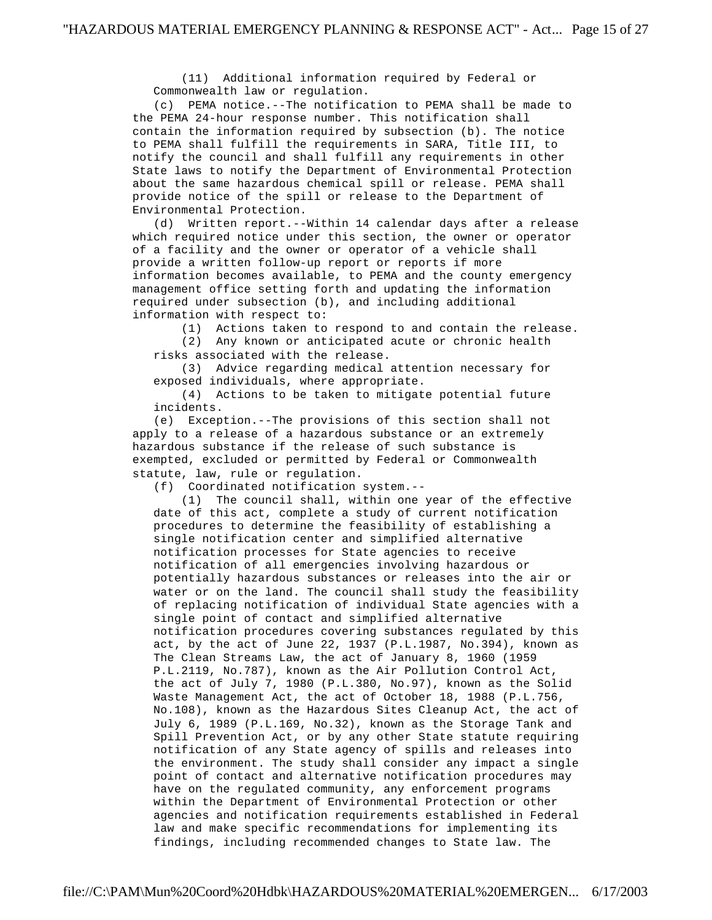(11) Additional information required by Federal or Commonwealth law or regulation.

 (c) PEMA notice.--The notification to PEMA shall be made to the PEMA 24-hour response number. This notification shall contain the information required by subsection (b). The notice to PEMA shall fulfill the requirements in SARA, Title III, to notify the council and shall fulfill any requirements in other State laws to notify the Department of Environmental Protection about the same hazardous chemical spill or release. PEMA shall provide notice of the spill or release to the Department of Environmental Protection.

 (d) Written report.--Within 14 calendar days after a release which required notice under this section, the owner or operator of a facility and the owner or operator of a vehicle shall provide a written follow-up report or reports if more information becomes available, to PEMA and the county emergency management office setting forth and updating the information required under subsection (b), and including additional information with respect to:

(1) Actions taken to respond to and contain the release.

 (2) Any known or anticipated acute or chronic health risks associated with the release.

 (3) Advice regarding medical attention necessary for exposed individuals, where appropriate.

 (4) Actions to be taken to mitigate potential future incidents.

 (e) Exception.--The provisions of this section shall not apply to a release of a hazardous substance or an extremely hazardous substance if the release of such substance is exempted, excluded or permitted by Federal or Commonwealth statute, law, rule or regulation.

(f) Coordinated notification system.--

 (1) The council shall, within one year of the effective date of this act, complete a study of current notification procedures to determine the feasibility of establishing a single notification center and simplified alternative notification processes for State agencies to receive notification of all emergencies involving hazardous or potentially hazardous substances or releases into the air or water or on the land. The council shall study the feasibility of replacing notification of individual State agencies with a single point of contact and simplified alternative notification procedures covering substances regulated by this act, by the act of June 22, 1937 (P.L.1987, No.394), known as The Clean Streams Law, the act of January 8, 1960 (1959 P.L.2119, No.787), known as the Air Pollution Control Act, the act of July 7, 1980 (P.L.380, No.97), known as the Solid Waste Management Act, the act of October 18, 1988 (P.L.756, No.108), known as the Hazardous Sites Cleanup Act, the act of July 6, 1989 (P.L.169, No.32), known as the Storage Tank and Spill Prevention Act, or by any other State statute requiring notification of any State agency of spills and releases into the environment. The study shall consider any impact a single point of contact and alternative notification procedures may have on the regulated community, any enforcement programs within the Department of Environmental Protection or other agencies and notification requirements established in Federal law and make specific recommendations for implementing its findings, including recommended changes to State law. The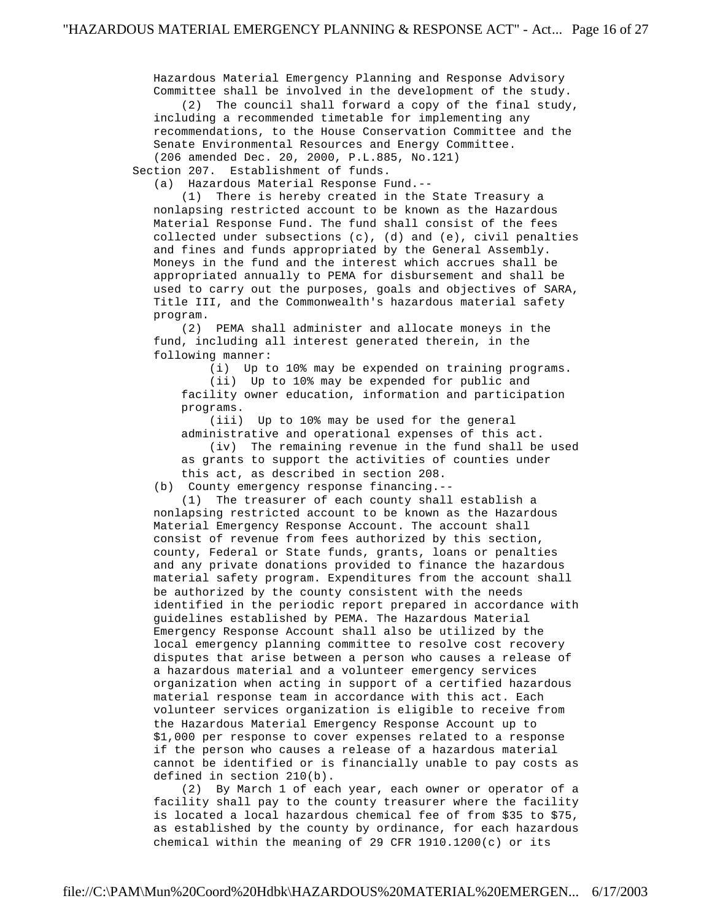Hazardous Material Emergency Planning and Response Advisory Committee shall be involved in the development of the study.

 (2) The council shall forward a copy of the final study, including a recommended timetable for implementing any recommendations, to the House Conservation Committee and the Senate Environmental Resources and Energy Committee. (206 amended Dec. 20, 2000, P.L.885, No.121)

Section 207. Establishment of funds.

(a) Hazardous Material Response Fund.--

 (1) There is hereby created in the State Treasury a nonlapsing restricted account to be known as the Hazardous Material Response Fund. The fund shall consist of the fees collected under subsections (c), (d) and (e), civil penalties and fines and funds appropriated by the General Assembly. Moneys in the fund and the interest which accrues shall be appropriated annually to PEMA for disbursement and shall be used to carry out the purposes, goals and objectives of SARA, Title III, and the Commonwealth's hazardous material safety program.

 (2) PEMA shall administer and allocate moneys in the fund, including all interest generated therein, in the following manner:

 (i) Up to 10% may be expended on training programs. (ii) Up to 10% may be expended for public and facility owner education, information and participation programs.

 (iii) Up to 10% may be used for the general administrative and operational expenses of this act. (iv) The remaining revenue in the fund shall be used

 as grants to support the activities of counties under this act, as described in section 208.

(b) County emergency response financing.--

 (1) The treasurer of each county shall establish a nonlapsing restricted account to be known as the Hazardous Material Emergency Response Account. The account shall consist of revenue from fees authorized by this section, county, Federal or State funds, grants, loans or penalties and any private donations provided to finance the hazardous material safety program. Expenditures from the account shall be authorized by the county consistent with the needs identified in the periodic report prepared in accordance with guidelines established by PEMA. The Hazardous Material Emergency Response Account shall also be utilized by the local emergency planning committee to resolve cost recovery disputes that arise between a person who causes a release of a hazardous material and a volunteer emergency services organization when acting in support of a certified hazardous material response team in accordance with this act. Each volunteer services organization is eligible to receive from the Hazardous Material Emergency Response Account up to \$1,000 per response to cover expenses related to a response if the person who causes a release of a hazardous material cannot be identified or is financially unable to pay costs as defined in section 210(b).

 (2) By March 1 of each year, each owner or operator of a facility shall pay to the county treasurer where the facility is located a local hazardous chemical fee of from \$35 to \$75, as established by the county by ordinance, for each hazardous chemical within the meaning of 29 CFR 1910.1200(c) or its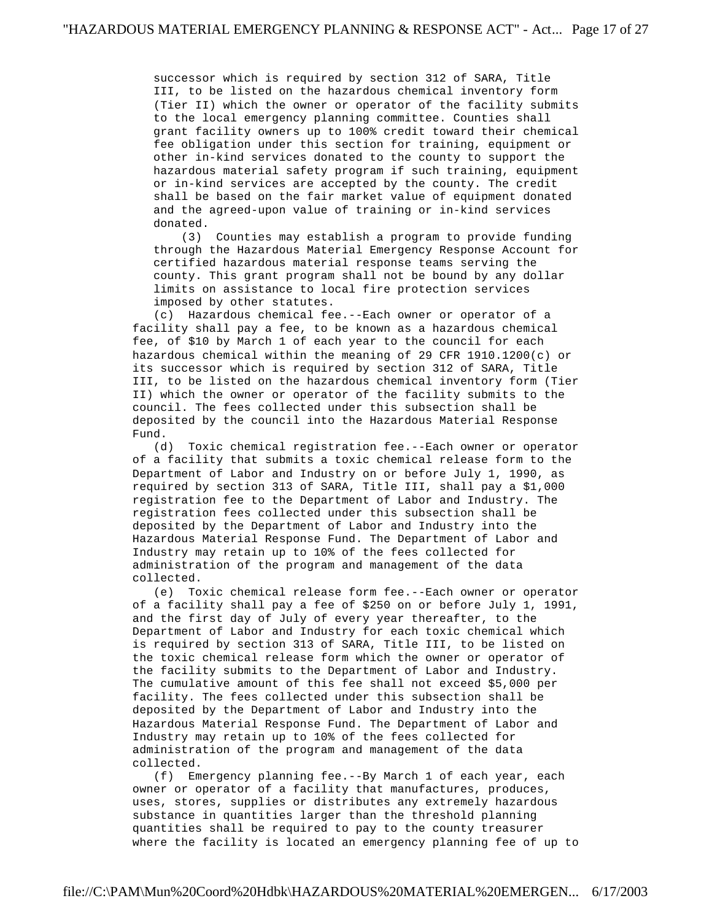successor which is required by section 312 of SARA, Title III, to be listed on the hazardous chemical inventory form (Tier II) which the owner or operator of the facility submits to the local emergency planning committee. Counties shall grant facility owners up to 100% credit toward their chemical fee obligation under this section for training, equipment or other in-kind services donated to the county to support the hazardous material safety program if such training, equipment or in-kind services are accepted by the county. The credit shall be based on the fair market value of equipment donated and the agreed-upon value of training or in-kind services donated.

 (3) Counties may establish a program to provide funding through the Hazardous Material Emergency Response Account for certified hazardous material response teams serving the county. This grant program shall not be bound by any dollar limits on assistance to local fire protection services imposed by other statutes.

 (c) Hazardous chemical fee.--Each owner or operator of a facility shall pay a fee, to be known as a hazardous chemical fee, of \$10 by March 1 of each year to the council for each hazardous chemical within the meaning of 29 CFR 1910.1200(c) or its successor which is required by section 312 of SARA, Title III, to be listed on the hazardous chemical inventory form (Tier II) which the owner or operator of the facility submits to the council. The fees collected under this subsection shall be deposited by the council into the Hazardous Material Response Fund.

 (d) Toxic chemical registration fee.--Each owner or operator of a facility that submits a toxic chemical release form to the Department of Labor and Industry on or before July 1, 1990, as required by section 313 of SARA, Title III, shall pay a \$1,000 registration fee to the Department of Labor and Industry. The registration fees collected under this subsection shall be deposited by the Department of Labor and Industry into the Hazardous Material Response Fund. The Department of Labor and Industry may retain up to 10% of the fees collected for administration of the program and management of the data collected.

 (e) Toxic chemical release form fee.--Each owner or operator of a facility shall pay a fee of \$250 on or before July 1, 1991, and the first day of July of every year thereafter, to the Department of Labor and Industry for each toxic chemical which is required by section 313 of SARA, Title III, to be listed on the toxic chemical release form which the owner or operator of the facility submits to the Department of Labor and Industry. The cumulative amount of this fee shall not exceed \$5,000 per facility. The fees collected under this subsection shall be deposited by the Department of Labor and Industry into the Hazardous Material Response Fund. The Department of Labor and Industry may retain up to 10% of the fees collected for administration of the program and management of the data collected.

 (f) Emergency planning fee.--By March 1 of each year, each owner or operator of a facility that manufactures, produces, uses, stores, supplies or distributes any extremely hazardous substance in quantities larger than the threshold planning quantities shall be required to pay to the county treasurer where the facility is located an emergency planning fee of up to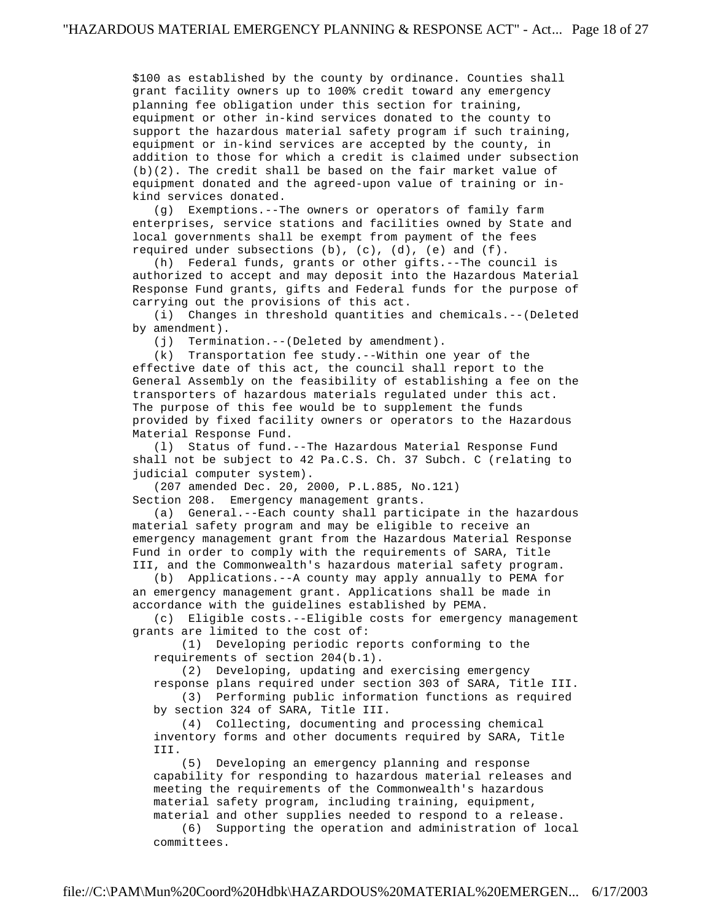\$100 as established by the county by ordinance. Counties shall grant facility owners up to 100% credit toward any emergency planning fee obligation under this section for training, equipment or other in-kind services donated to the county to support the hazardous material safety program if such training, equipment or in-kind services are accepted by the county, in addition to those for which a credit is claimed under subsection (b)(2). The credit shall be based on the fair market value of equipment donated and the agreed-upon value of training or in kind services donated.

 (g) Exemptions.--The owners or operators of family farm enterprises, service stations and facilities owned by State and local governments shall be exempt from payment of the fees required under subsections (b), (c), (d), (e) and (f).

 (h) Federal funds, grants or other gifts.--The council is authorized to accept and may deposit into the Hazardous Material Response Fund grants, gifts and Federal funds for the purpose of carrying out the provisions of this act.

 (i) Changes in threshold quantities and chemicals.--(Deleted by amendment).

(j) Termination.--(Deleted by amendment).

 (k) Transportation fee study.--Within one year of the effective date of this act, the council shall report to the General Assembly on the feasibility of establishing a fee on the transporters of hazardous materials regulated under this act. The purpose of this fee would be to supplement the funds provided by fixed facility owners or operators to the Hazardous Material Response Fund.

 (l) Status of fund.--The Hazardous Material Response Fund shall not be subject to 42 Pa.C.S. Ch. 37 Subch. C (relating to judicial computer system).

(207 amended Dec. 20, 2000, P.L.885, No.121)

Section 208. Emergency management grants.

 (a) General.--Each county shall participate in the hazardous material safety program and may be eligible to receive an emergency management grant from the Hazardous Material Response Fund in order to comply with the requirements of SARA, Title III, and the Commonwealth's hazardous material safety program.

 (b) Applications.--A county may apply annually to PEMA for an emergency management grant. Applications shall be made in accordance with the guidelines established by PEMA.

 (c) Eligible costs.--Eligible costs for emergency management grants are limited to the cost of:

 (1) Developing periodic reports conforming to the requirements of section 204(b.1).

(2) Developing, updating and exercising emergency

 response plans required under section 303 of SARA, Title III. (3) Performing public information functions as required

by section 324 of SARA, Title III.

 (4) Collecting, documenting and processing chemical inventory forms and other documents required by SARA, Title III.

 (5) Developing an emergency planning and response capability for responding to hazardous material releases and meeting the requirements of the Commonwealth's hazardous material safety program, including training, equipment, material and other supplies needed to respond to a release.

 (6) Supporting the operation and administration of local committees.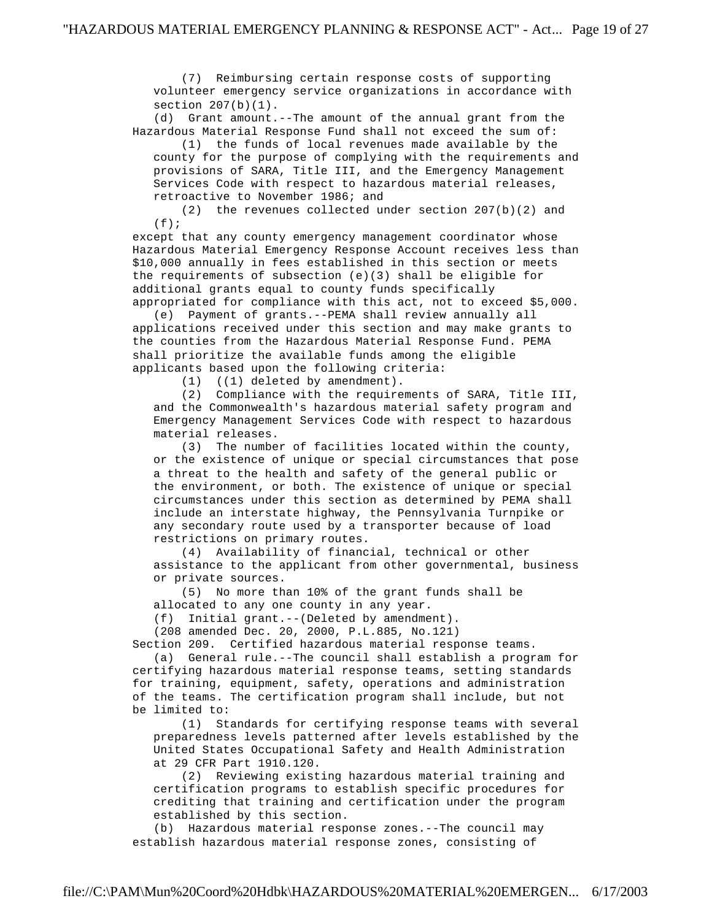(7) Reimbursing certain response costs of supporting volunteer emergency service organizations in accordance with section  $207(b)(1)$ .

 (d) Grant amount.--The amount of the annual grant from the Hazardous Material Response Fund shall not exceed the sum of:

 (1) the funds of local revenues made available by the county for the purpose of complying with the requirements and provisions of SARA, Title III, and the Emergency Management Services Code with respect to hazardous material releases, retroactive to November 1986; and

 (2) the revenues collected under section 207(b)(2) and  $(f)$ ;

 except that any county emergency management coordinator whose Hazardous Material Emergency Response Account receives less than \$10,000 annually in fees established in this section or meets the requirements of subsection  $(e)(3)$  shall be eligible for additional grants equal to county funds specifically appropriated for compliance with this act, not to exceed \$5,000.

 (e) Payment of grants.--PEMA shall review annually all applications received under this section and may make grants to the counties from the Hazardous Material Response Fund. PEMA shall prioritize the available funds among the eligible applicants based upon the following criteria:

(1) ((1) deleted by amendment).

 (2) Compliance with the requirements of SARA, Title III, and the Commonwealth's hazardous material safety program and Emergency Management Services Code with respect to hazardous material releases.

 (3) The number of facilities located within the county, or the existence of unique or special circumstances that pose a threat to the health and safety of the general public or the environment, or both. The existence of unique or special circumstances under this section as determined by PEMA shall include an interstate highway, the Pennsylvania Turnpike or any secondary route used by a transporter because of load restrictions on primary routes.

 (4) Availability of financial, technical or other assistance to the applicant from other governmental, business or private sources.

 (5) No more than 10% of the grant funds shall be allocated to any one county in any year.

(f) Initial grant.--(Deleted by amendment).

(208 amended Dec. 20, 2000, P.L.885, No.121)

Section 209. Certified hazardous material response teams.

 (a) General rule.--The council shall establish a program for certifying hazardous material response teams, setting standards for training, equipment, safety, operations and administration of the teams. The certification program shall include, but not be limited to:

 (1) Standards for certifying response teams with several preparedness levels patterned after levels established by the United States Occupational Safety and Health Administration at 29 CFR Part 1910.120.

 (2) Reviewing existing hazardous material training and certification programs to establish specific procedures for crediting that training and certification under the program established by this section.

 (b) Hazardous material response zones.--The council may establish hazardous material response zones, consisting of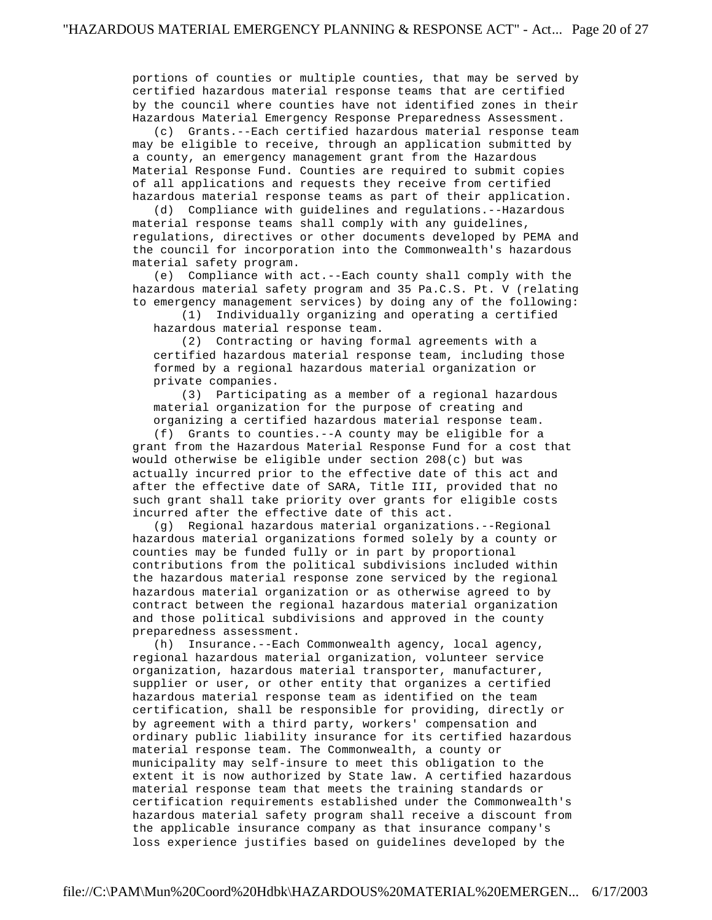portions of counties or multiple counties, that may be served by certified hazardous material response teams that are certified by the council where counties have not identified zones in their Hazardous Material Emergency Response Preparedness Assessment.

 (c) Grants.--Each certified hazardous material response team may be eligible to receive, through an application submitted by a county, an emergency management grant from the Hazardous Material Response Fund. Counties are required to submit copies of all applications and requests they receive from certified hazardous material response teams as part of their application.

 (d) Compliance with guidelines and regulations.--Hazardous material response teams shall comply with any guidelines, regulations, directives or other documents developed by PEMA and the council for incorporation into the Commonwealth's hazardous material safety program.

 (e) Compliance with act.--Each county shall comply with the hazardous material safety program and 35 Pa.C.S. Pt. V (relating to emergency management services) by doing any of the following:

 (1) Individually organizing and operating a certified hazardous material response team.

 (2) Contracting or having formal agreements with a certified hazardous material response team, including those formed by a regional hazardous material organization or private companies.

 (3) Participating as a member of a regional hazardous material organization for the purpose of creating and organizing a certified hazardous material response team.

 (f) Grants to counties.--A county may be eligible for a grant from the Hazardous Material Response Fund for a cost that would otherwise be eligible under section 208(c) but was actually incurred prior to the effective date of this act and after the effective date of SARA, Title III, provided that no such grant shall take priority over grants for eligible costs incurred after the effective date of this act.

 (g) Regional hazardous material organizations.--Regional hazardous material organizations formed solely by a county or counties may be funded fully or in part by proportional contributions from the political subdivisions included within the hazardous material response zone serviced by the regional hazardous material organization or as otherwise agreed to by contract between the regional hazardous material organization and those political subdivisions and approved in the county preparedness assessment.

 (h) Insurance.--Each Commonwealth agency, local agency, regional hazardous material organization, volunteer service organization, hazardous material transporter, manufacturer, supplier or user, or other entity that organizes a certified hazardous material response team as identified on the team certification, shall be responsible for providing, directly or by agreement with a third party, workers' compensation and ordinary public liability insurance for its certified hazardous material response team. The Commonwealth, a county or municipality may self-insure to meet this obligation to the extent it is now authorized by State law. A certified hazardous material response team that meets the training standards or certification requirements established under the Commonwealth's hazardous material safety program shall receive a discount from the applicable insurance company as that insurance company's loss experience justifies based on guidelines developed by the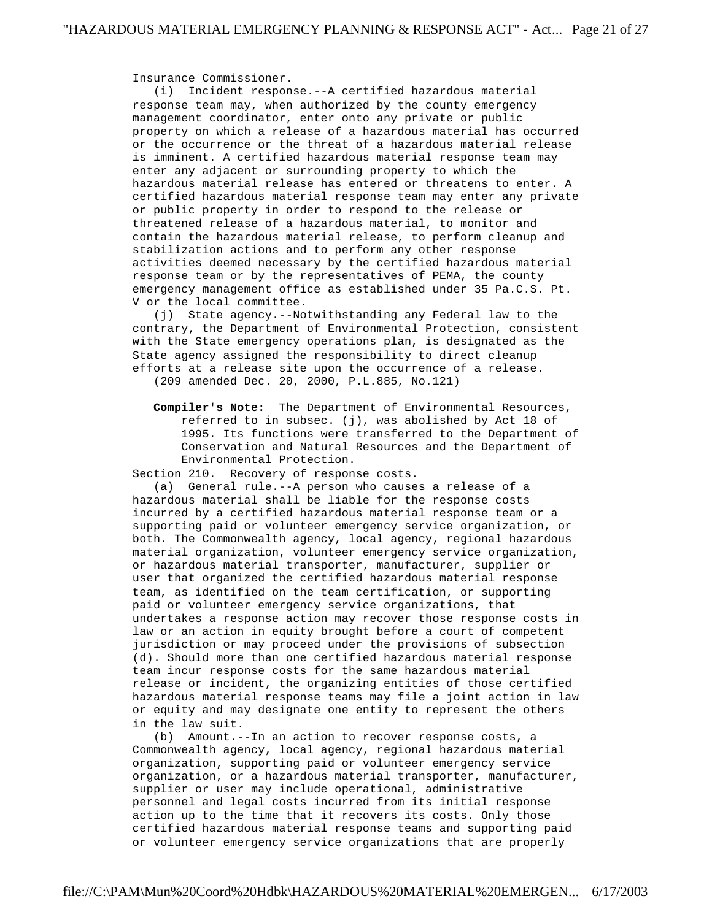Insurance Commissioner.

 (i) Incident response.--A certified hazardous material response team may, when authorized by the county emergency management coordinator, enter onto any private or public property on which a release of a hazardous material has occurred or the occurrence or the threat of a hazardous material release is imminent. A certified hazardous material response team may enter any adjacent or surrounding property to which the hazardous material release has entered or threatens to enter. A certified hazardous material response team may enter any private or public property in order to respond to the release or threatened release of a hazardous material, to monitor and contain the hazardous material release, to perform cleanup and stabilization actions and to perform any other response activities deemed necessary by the certified hazardous material response team or by the representatives of PEMA, the county emergency management office as established under 35 Pa.C.S. Pt. V or the local committee.

 (j) State agency.--Notwithstanding any Federal law to the contrary, the Department of Environmental Protection, consistent with the State emergency operations plan, is designated as the State agency assigned the responsibility to direct cleanup efforts at a release site upon the occurrence of a release. (209 amended Dec. 20, 2000, P.L.885, No.121)

 **Compiler's Note:** The Department of Environmental Resources, referred to in subsec. (j), was abolished by Act 18 of 1995. Its functions were transferred to the Department of Conservation and Natural Resources and the Department of Environmental Protection.

Section 210. Recovery of response costs.

 (a) General rule.--A person who causes a release of a hazardous material shall be liable for the response costs incurred by a certified hazardous material response team or a supporting paid or volunteer emergency service organization, or both. The Commonwealth agency, local agency, regional hazardous material organization, volunteer emergency service organization, or hazardous material transporter, manufacturer, supplier or user that organized the certified hazardous material response team, as identified on the team certification, or supporting paid or volunteer emergency service organizations, that undertakes a response action may recover those response costs in law or an action in equity brought before a court of competent jurisdiction or may proceed under the provisions of subsection (d). Should more than one certified hazardous material response team incur response costs for the same hazardous material release or incident, the organizing entities of those certified hazardous material response teams may file a joint action in law or equity and may designate one entity to represent the others in the law suit.

 (b) Amount.--In an action to recover response costs, a Commonwealth agency, local agency, regional hazardous material organization, supporting paid or volunteer emergency service organization, or a hazardous material transporter, manufacturer, supplier or user may include operational, administrative personnel and legal costs incurred from its initial response action up to the time that it recovers its costs. Only those certified hazardous material response teams and supporting paid or volunteer emergency service organizations that are properly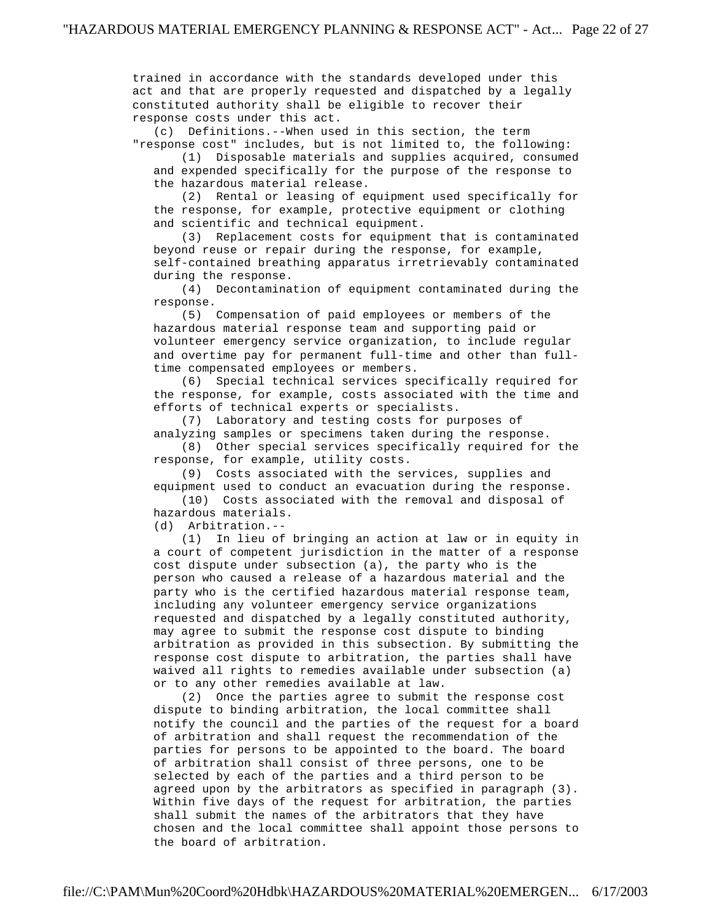trained in accordance with the standards developed under this act and that are properly requested and dispatched by a legally constituted authority shall be eligible to recover their response costs under this act.

 (c) Definitions.--When used in this section, the term "response cost" includes, but is not limited to, the following:

 (1) Disposable materials and supplies acquired, consumed and expended specifically for the purpose of the response to the hazardous material release.

 (2) Rental or leasing of equipment used specifically for the response, for example, protective equipment or clothing and scientific and technical equipment.

 (3) Replacement costs for equipment that is contaminated beyond reuse or repair during the response, for example, self-contained breathing apparatus irretrievably contaminated during the response.

 (4) Decontamination of equipment contaminated during the response.

 (5) Compensation of paid employees or members of the hazardous material response team and supporting paid or volunteer emergency service organization, to include regular and overtime pay for permanent full-time and other than full time compensated employees or members.

 (6) Special technical services specifically required for the response, for example, costs associated with the time and efforts of technical experts or specialists.

 (7) Laboratory and testing costs for purposes of analyzing samples or specimens taken during the response.

 (8) Other special services specifically required for the response, for example, utility costs.

 (9) Costs associated with the services, supplies and equipment used to conduct an evacuation during the response.

 (10) Costs associated with the removal and disposal of hazardous materials.

(d) Arbitration.--

 (1) In lieu of bringing an action at law or in equity in a court of competent jurisdiction in the matter of a response cost dispute under subsection (a), the party who is the person who caused a release of a hazardous material and the party who is the certified hazardous material response team, including any volunteer emergency service organizations requested and dispatched by a legally constituted authority, may agree to submit the response cost dispute to binding arbitration as provided in this subsection. By submitting the response cost dispute to arbitration, the parties shall have waived all rights to remedies available under subsection (a) or to any other remedies available at law.

 (2) Once the parties agree to submit the response cost dispute to binding arbitration, the local committee shall notify the council and the parties of the request for a board of arbitration and shall request the recommendation of the parties for persons to be appointed to the board. The board of arbitration shall consist of three persons, one to be selected by each of the parties and a third person to be agreed upon by the arbitrators as specified in paragraph (3). Within five days of the request for arbitration, the parties shall submit the names of the arbitrators that they have chosen and the local committee shall appoint those persons to the board of arbitration.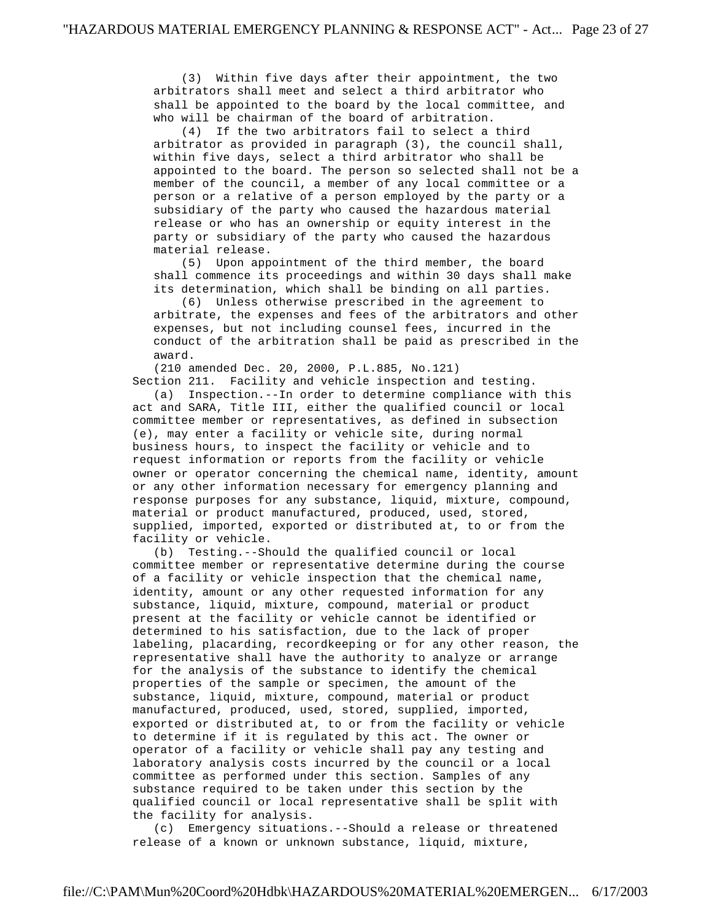(3) Within five days after their appointment, the two arbitrators shall meet and select a third arbitrator who shall be appointed to the board by the local committee, and who will be chairman of the board of arbitration.

 (4) If the two arbitrators fail to select a third arbitrator as provided in paragraph (3), the council shall, within five days, select a third arbitrator who shall be appointed to the board. The person so selected shall not be a member of the council, a member of any local committee or a person or a relative of a person employed by the party or a subsidiary of the party who caused the hazardous material release or who has an ownership or equity interest in the party or subsidiary of the party who caused the hazardous material release.

 (5) Upon appointment of the third member, the board shall commence its proceedings and within 30 days shall make its determination, which shall be binding on all parties.

 (6) Unless otherwise prescribed in the agreement to arbitrate, the expenses and fees of the arbitrators and other expenses, but not including counsel fees, incurred in the conduct of the arbitration shall be paid as prescribed in the award.

 (210 amended Dec. 20, 2000, P.L.885, No.121) Section 211. Facility and vehicle inspection and testing.

 (a) Inspection.--In order to determine compliance with this act and SARA, Title III, either the qualified council or local committee member or representatives, as defined in subsection (e), may enter a facility or vehicle site, during normal business hours, to inspect the facility or vehicle and to request information or reports from the facility or vehicle owner or operator concerning the chemical name, identity, amount or any other information necessary for emergency planning and response purposes for any substance, liquid, mixture, compound, material or product manufactured, produced, used, stored, supplied, imported, exported or distributed at, to or from the facility or vehicle.

 (b) Testing.--Should the qualified council or local committee member or representative determine during the course of a facility or vehicle inspection that the chemical name, identity, amount or any other requested information for any substance, liquid, mixture, compound, material or product present at the facility or vehicle cannot be identified or determined to his satisfaction, due to the lack of proper labeling, placarding, recordkeeping or for any other reason, the representative shall have the authority to analyze or arrange for the analysis of the substance to identify the chemical properties of the sample or specimen, the amount of the substance, liquid, mixture, compound, material or product manufactured, produced, used, stored, supplied, imported, exported or distributed at, to or from the facility or vehicle to determine if it is regulated by this act. The owner or operator of a facility or vehicle shall pay any testing and laboratory analysis costs incurred by the council or a local committee as performed under this section. Samples of any substance required to be taken under this section by the qualified council or local representative shall be split with the facility for analysis.

 (c) Emergency situations.--Should a release or threatened release of a known or unknown substance, liquid, mixture,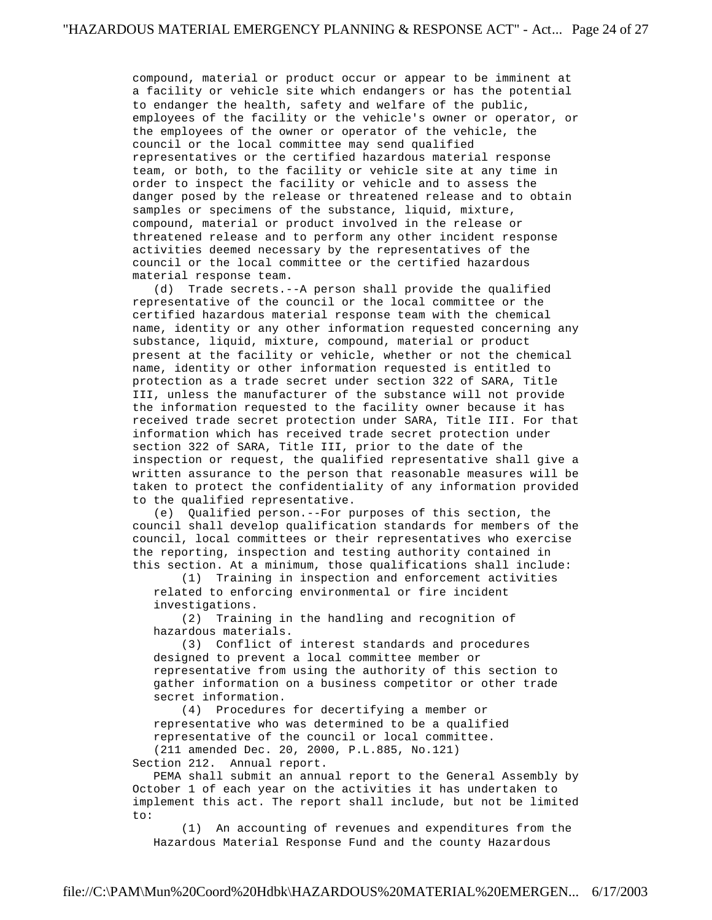compound, material or product occur or appear to be imminent at a facility or vehicle site which endangers or has the potential to endanger the health, safety and welfare of the public, employees of the facility or the vehicle's owner or operator, or the employees of the owner or operator of the vehicle, the council or the local committee may send qualified representatives or the certified hazardous material response team, or both, to the facility or vehicle site at any time in order to inspect the facility or vehicle and to assess the danger posed by the release or threatened release and to obtain samples or specimens of the substance, liquid, mixture, compound, material or product involved in the release or threatened release and to perform any other incident response activities deemed necessary by the representatives of the council or the local committee or the certified hazardous material response team.

 (d) Trade secrets.--A person shall provide the qualified representative of the council or the local committee or the certified hazardous material response team with the chemical name, identity or any other information requested concerning any substance, liquid, mixture, compound, material or product present at the facility or vehicle, whether or not the chemical name, identity or other information requested is entitled to protection as a trade secret under section 322 of SARA, Title III, unless the manufacturer of the substance will not provide the information requested to the facility owner because it has received trade secret protection under SARA, Title III. For that information which has received trade secret protection under section 322 of SARA, Title III, prior to the date of the inspection or request, the qualified representative shall give a written assurance to the person that reasonable measures will be taken to protect the confidentiality of any information provided to the qualified representative.

 (e) Qualified person.--For purposes of this section, the council shall develop qualification standards for members of the council, local committees or their representatives who exercise the reporting, inspection and testing authority contained in this section. At a minimum, those qualifications shall include:

 (1) Training in inspection and enforcement activities related to enforcing environmental or fire incident investigations.

 (2) Training in the handling and recognition of hazardous materials.

 (3) Conflict of interest standards and procedures designed to prevent a local committee member or representative from using the authority of this section to gather information on a business competitor or other trade secret information.

 (4) Procedures for decertifying a member or representative who was determined to be a qualified representative of the council or local committee.

 (211 amended Dec. 20, 2000, P.L.885, No.121) Section 212. Annual report.

 PEMA shall submit an annual report to the General Assembly by October 1 of each year on the activities it has undertaken to implement this act. The report shall include, but not be limited to:

 (1) An accounting of revenues and expenditures from the Hazardous Material Response Fund and the county Hazardous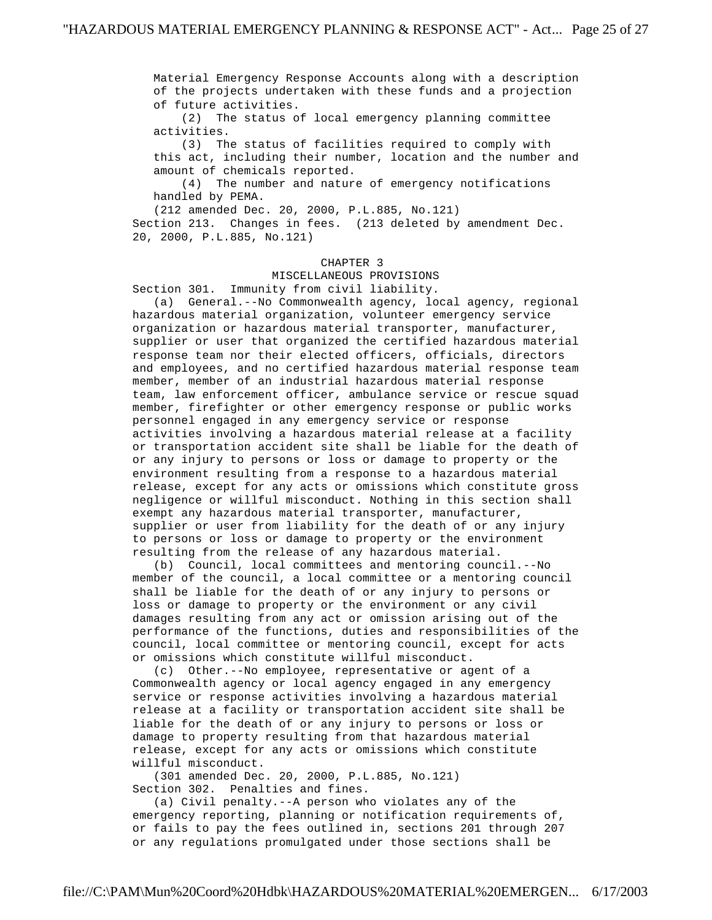Material Emergency Response Accounts along with a description of the projects undertaken with these funds and a projection of future activities.

 (2) The status of local emergency planning committee activities.

 (3) The status of facilities required to comply with this act, including their number, location and the number and amount of chemicals reported.

 (4) The number and nature of emergency notifications handled by PEMA.

 (212 amended Dec. 20, 2000, P.L.885, No.121) Section 213. Changes in fees. (213 deleted by amendment Dec. 20, 2000, P.L.885, No.121)

## CHAPTER 3

MISCELLANEOUS PROVISIONS

Section 301. Immunity from civil liability.

 (a) General.--No Commonwealth agency, local agency, regional hazardous material organization, volunteer emergency service organization or hazardous material transporter, manufacturer, supplier or user that organized the certified hazardous material response team nor their elected officers, officials, directors and employees, and no certified hazardous material response team member, member of an industrial hazardous material response team, law enforcement officer, ambulance service or rescue squad member, firefighter or other emergency response or public works personnel engaged in any emergency service or response activities involving a hazardous material release at a facility or transportation accident site shall be liable for the death of or any injury to persons or loss or damage to property or the environment resulting from a response to a hazardous material release, except for any acts or omissions which constitute gross negligence or willful misconduct. Nothing in this section shall exempt any hazardous material transporter, manufacturer, supplier or user from liability for the death of or any injury to persons or loss or damage to property or the environment resulting from the release of any hazardous material.

 (b) Council, local committees and mentoring council.--No member of the council, a local committee or a mentoring council shall be liable for the death of or any injury to persons or loss or damage to property or the environment or any civil damages resulting from any act or omission arising out of the performance of the functions, duties and responsibilities of the council, local committee or mentoring council, except for acts or omissions which constitute willful misconduct.

 (c) Other.--No employee, representative or agent of a Commonwealth agency or local agency engaged in any emergency service or response activities involving a hazardous material release at a facility or transportation accident site shall be liable for the death of or any injury to persons or loss or damage to property resulting from that hazardous material release, except for any acts or omissions which constitute willful misconduct.

 (301 amended Dec. 20, 2000, P.L.885, No.121) Section 302. Penalties and fines.

 (a) Civil penalty.--A person who violates any of the emergency reporting, planning or notification requirements of, or fails to pay the fees outlined in, sections 201 through 207 or any regulations promulgated under those sections shall be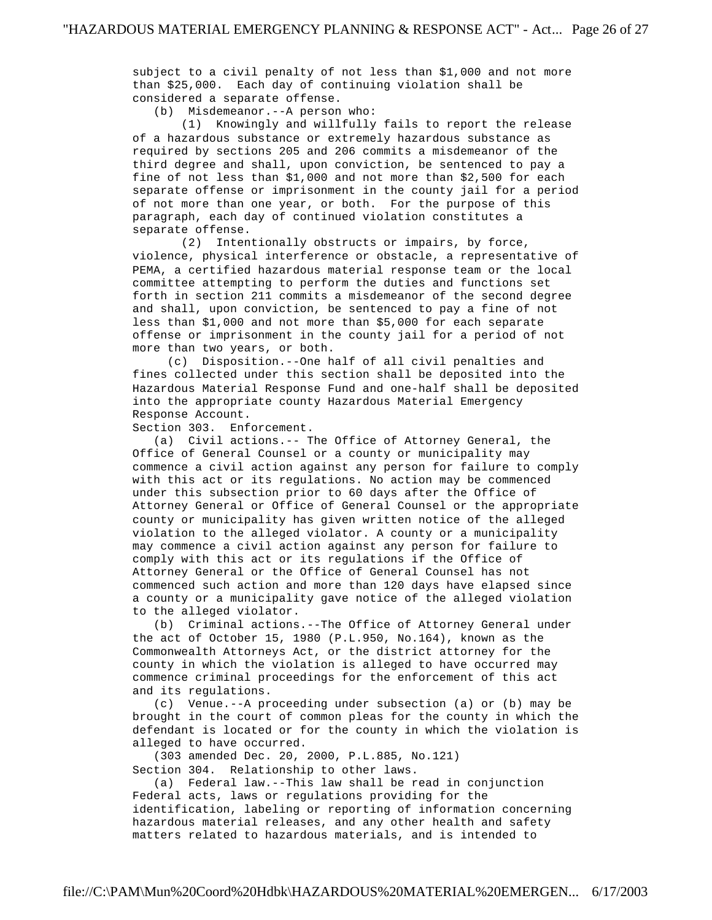subject to a civil penalty of not less than \$1,000 and not more than \$25,000. Each day of continuing violation shall be considered a separate offense.

(b) Misdemeanor.--A person who:

 (1) Knowingly and willfully fails to report the release of a hazardous substance or extremely hazardous substance as required by sections 205 and 206 commits a misdemeanor of the third degree and shall, upon conviction, be sentenced to pay a fine of not less than \$1,000 and not more than \$2,500 for each separate offense or imprisonment in the county jail for a period of not more than one year, or both. For the purpose of this paragraph, each day of continued violation constitutes a separate offense.

 (2) Intentionally obstructs or impairs, by force, violence, physical interference or obstacle, a representative of PEMA, a certified hazardous material response team or the local committee attempting to perform the duties and functions set forth in section 211 commits a misdemeanor of the second degree and shall, upon conviction, be sentenced to pay a fine of not less than \$1,000 and not more than \$5,000 for each separate offense or imprisonment in the county jail for a period of not more than two years, or both.

 (c) Disposition.--One half of all civil penalties and fines collected under this section shall be deposited into the Hazardous Material Response Fund and one-half shall be deposited into the appropriate county Hazardous Material Emergency Response Account.

Section 303. Enforcement.

 (a) Civil actions.-- The Office of Attorney General, the Office of General Counsel or a county or municipality may commence a civil action against any person for failure to comply with this act or its regulations. No action may be commenced under this subsection prior to 60 days after the Office of Attorney General or Office of General Counsel or the appropriate county or municipality has given written notice of the alleged violation to the alleged violator. A county or a municipality may commence a civil action against any person for failure to comply with this act or its regulations if the Office of Attorney General or the Office of General Counsel has not commenced such action and more than 120 days have elapsed since a county or a municipality gave notice of the alleged violation to the alleged violator.

 (b) Criminal actions.--The Office of Attorney General under the act of October 15, 1980 (P.L.950, No.164), known as the Commonwealth Attorneys Act, or the district attorney for the county in which the violation is alleged to have occurred may commence criminal proceedings for the enforcement of this act and its regulations.

 (c) Venue.--A proceeding under subsection (a) or (b) may be brought in the court of common pleas for the county in which the defendant is located or for the county in which the violation is alleged to have occurred.

 (303 amended Dec. 20, 2000, P.L.885, No.121) Section 304. Relationship to other laws.

 (a) Federal law.--This law shall be read in conjunction Federal acts, laws or regulations providing for the identification, labeling or reporting of information concerning hazardous material releases, and any other health and safety matters related to hazardous materials, and is intended to